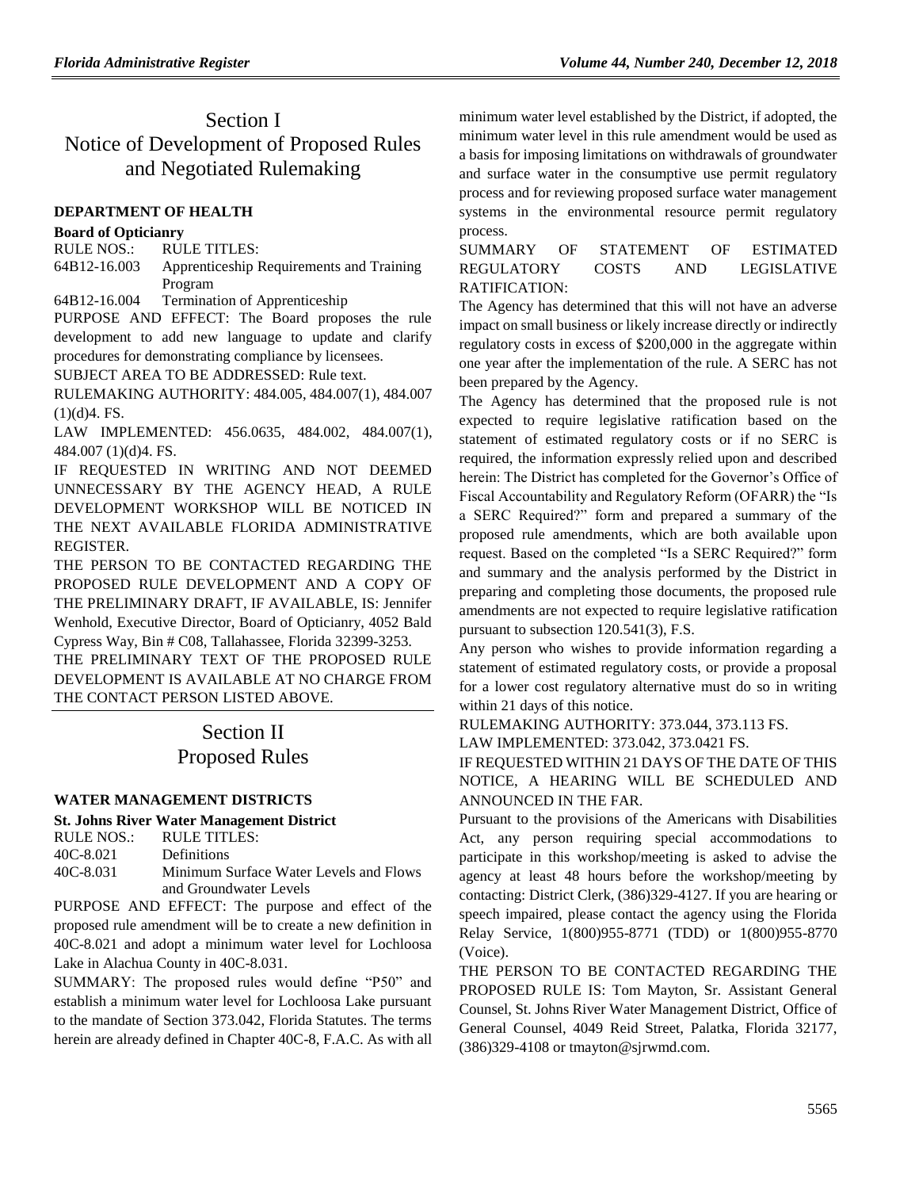# Section I Notice of Development of Proposed Rules and Negotiated Rulemaking

## **[DEPARTMENT OF HEALTH](https://www.flrules.org/gateway/department.asp?id=64)**

## **[Board of Opticianry](https://www.flrules.org/gateway/organization.asp?id=303)**

RULE NOS.: RULE TITLES: [64B12-16.003](https://www.flrules.org/gateway/ruleNo.asp?id=64B12-16.003) Apprenticeship Requirements and Training Program

[64B12-16.004](https://www.flrules.org/gateway/ruleNo.asp?id=64B12-16.004) Termination of Apprenticeship

PURPOSE AND EFFECT: The Board proposes the rule development to add new language to update and clarify procedures for demonstrating compliance by licensees.

SUBJECT AREA TO BE ADDRESSED: Rule text.

RULEMAKING AUTHORITY: [484.005,](https://www.flrules.org/gateway/statute.asp?id=484.005) [484.007\(1\),](https://www.flrules.org/gateway/statute.asp?id=%20484.007(1)) [484.007](https://www.flrules.org/gateway/statute.asp?id=%20484.007%20(1)(d)4.%20FS.)   $(1)(d)4.$  FS.

LAW IMPLEMENTED: [456.0635,](https://www.flrules.org/gateway/statute.asp?id=456.0635) [484.002,](https://www.flrules.org/gateway/statute.asp?id=%20484.002) [484.007\(1\),](https://www.flrules.org/gateway/statute.asp?id=%20484.007(1)) [484.007 \(1\)\(d\)4. FS.](https://www.flrules.org/gateway/statute.asp?id=%20484.007%20(1)(d)4.%20FS.)

IF REQUESTED IN WRITING AND NOT DEEMED UNNECESSARY BY THE AGENCY HEAD, A RULE DEVELOPMENT WORKSHOP WILL BE NOTICED IN THE NEXT AVAILABLE FLORIDA ADMINISTRATIVE REGISTER.

THE PERSON TO BE CONTACTED REGARDING THE PROPOSED RULE DEVELOPMENT AND A COPY OF THE PRELIMINARY DRAFT, IF AVAILABLE, IS: Jennifer Wenhold, Executive Director, Board of Opticianry, 4052 Bald Cypress Way, Bin # C08, Tallahassee, Florida 32399-3253.

THE PRELIMINARY TEXT OF THE PROPOSED RULE DEVELOPMENT IS AVAILABLE AT NO CHARGE FROM THE CONTACT PERSON LISTED ABOVE.

# Section II Proposed Rules

# **[WATER MANAGEMENT](https://www.flrules.org/gateway/department.asp?id=40) DISTRICTS**

## **[St. Johns River Water Management District](https://www.flrules.org/gateway/organization.asp?id=122)**

| RULE NOS.: | RULE TITLES:                           |
|------------|----------------------------------------|
| 40C-8.021  | <b>Definitions</b>                     |
| 40C-8.031  | Minimum Surface Water Levels and Flows |
|            | and Groundwater Levels                 |

PURPOSE AND EFFECT: The purpose and effect of the proposed rule amendment will be to create a new definition in 40C-8.021 and adopt a minimum water level for Lochloosa Lake in Alachua County in 40C-8.031.

SUMMARY: The proposed rules would define "P50" and establish a minimum water level for Lochloosa Lake pursuant to the mandate of Section 373.042, Florida Statutes. The terms herein are already defined in Chapter 40C-8, F.A.C. As with all minimum water level established by the District, if adopted, the minimum water level in this rule amendment would be used as a basis for imposing limitations on withdrawals of groundwater and surface water in the consumptive use permit regulatory process and for reviewing proposed surface water management systems in the environmental resource permit regulatory process.

## SUMMARY OF STATEMENT OF ESTIMATED REGULATORY COSTS AND LEGISLATIVE RATIFICATION:

The Agency has determined that this will not have an adverse impact on small business or likely increase directly or indirectly regulatory costs in excess of \$200,000 in the aggregate within one year after the implementation of the rule. A SERC has not been prepared by the Agency.

The Agency has determined that the proposed rule is not expected to require legislative ratification based on the statement of estimated regulatory costs or if no SERC is required, the information expressly relied upon and described herein: The District has completed for the Governor's Office of Fiscal Accountability and Regulatory Reform (OFARR) the "Is a SERC Required?" form and prepared a summary of the proposed rule amendments, which are both available upon request. Based on the completed "Is a SERC Required?" form and summary and the analysis performed by the District in preparing and completing those documents, the proposed rule amendments are not expected to require legislative ratification pursuant to subsection 120.541(3), F.S.

Any person who wishes to provide information regarding a statement of estimated regulatory costs, or provide a proposal for a lower cost regulatory alternative must do so in writing within 21 days of this notice.

RULEMAKING AUTHORITY: [373.044,](https://www.flrules.org/gateway/statute.asp?id=373.044) [373.113 FS.](https://www.flrules.org/gateway/statute.asp?id=%20373.113%20FS.)

LAW IMPLEMENTED: [373.042,](https://www.flrules.org/gateway/statute.asp?id=373.042) [373.0421 FS.](https://www.flrules.org/gateway/statute.asp?id=%20373.0421%20FS.)

IF REQUESTED WITHIN 21 DAYS OF THE DATE OF THIS NOTICE, A HEARING WILL BE SCHEDULED AND ANNOUNCED IN THE FAR.

Pursuant to the provisions of the Americans with Disabilities Act, any person requiring special accommodations to participate in this workshop/meeting is asked to advise the agency at least 48 hours before the workshop/meeting by contacting: District Clerk, (386)329-4127. If you are hearing or speech impaired, please contact the agency using the Florida Relay Service, 1(800)955-8771 (TDD) or 1(800)955-8770 (Voice).

THE PERSON TO BE CONTACTED REGARDING THE PROPOSED RULE IS: Tom Mayton, Sr. Assistant General Counsel, St. Johns River Water Management District, Office of General Counsel, 4049 Reid Street, Palatka, Florida 32177, (386)329-4108 or tmayton@sjrwmd.com.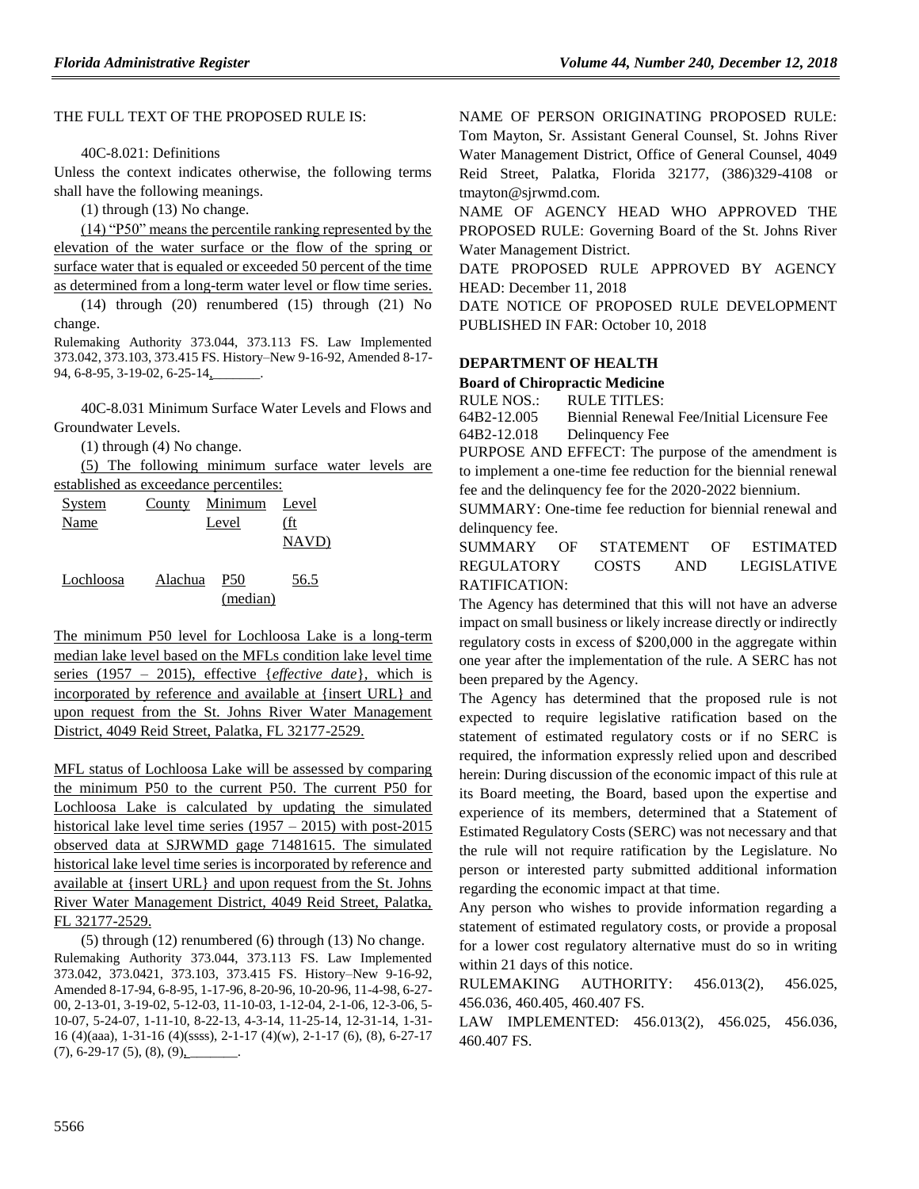### THE FULL TEXT OF THE PROPOSED RULE IS:

40C-8.021: Definitions

Unless the context indicates otherwise, the following terms shall have the following meanings.

(1) through (13) No change.

(14) "P50" means the percentile ranking represented by the elevation of the water surface or the flow of the spring or surface water that is equaled or exceeded 50 percent of the time as determined from a long-term water level or flow time series.

(14) through (20) renumbered (15) through (21) No change.

Rulemaking Authority 373.044, 373.113 FS. Law Implemented 373.042, 373.103, 373.415 FS. History–New 9-16-92, Amended 8-17- 94, 6-8-95, 3-19-02, 6-25-14,

40C-8.031 Minimum Surface Water Levels and Flows and Groundwater Levels.

(1) through (4) No change.

(5) The following minimum surface water levels are established as exceedance percentiles:

| established as execcuance percentifies. |         |                 |       |  |  |
|-----------------------------------------|---------|-----------------|-------|--|--|
| <b>System</b>                           |         | County Minimum  | Level |  |  |
| Name                                    |         | Level           | (ft   |  |  |
|                                         |         |                 | NAVD) |  |  |
| Lochloosa                               | Alachua | P <sub>50</sub> | 56.5  |  |  |

(median)

The minimum P50 level for Lochloosa Lake is a long-term median lake level based on the MFLs condition lake level time series (1957 – 2015), effective {*effective date*}, which is incorporated by reference and available at {insert URL} and upon request from the St. Johns River Water Management District, 4049 Reid Street, Palatka, FL 32177-2529.

MFL status of Lochloosa Lake will be assessed by comparing the minimum P50 to the current P50. The current P50 for Lochloosa Lake is calculated by updating the simulated historical lake level time series  $(1957 - 2015)$  with post-2015 observed data at SJRWMD gage 71481615. The simulated historical lake level time series is incorporated by reference and available at {insert URL} and upon request from the St. Johns River Water Management District, 4049 Reid Street, Palatka, FL 32177-2529.

(5) through (12) renumbered (6) through (13) No change. Rulemaking Authority 373.044, 373.113 FS. Law Implemented 373.042, 373.0421, 373.103, 373.415 FS. History–New 9-16-92, Amended 8-17-94, 6-8-95, 1-17-96, 8-20-96, 10-20-96, 11-4-98, 6-27- 00, 2-13-01, 3-19-02, 5-12-03, 11-10-03, 1-12-04, 2-1-06, 12-3-06, 5- 10-07, 5-24-07, 1-11-10, 8-22-13, 4-3-14, 11-25-14, 12-31-14, 1-31- 16 (4)(aaa), 1-31-16 (4)(ssss), 2-1-17 (4)(w), 2-1-17 (6), (8), 6-27-17  $(7), 6-29-17(5), (8), (9)$ 

NAME OF PERSON ORIGINATING PROPOSED RULE: Tom Mayton, Sr. Assistant General Counsel, St. Johns River Water Management District, Office of General Counsel, 4049 Reid Street, Palatka, Florida 32177, (386)329-4108 or tmayton@sjrwmd.com.

NAME OF AGENCY HEAD WHO APPROVED THE PROPOSED RULE: Governing Board of the St. Johns River Water Management District.

DATE PROPOSED RULE APPROVED BY AGENCY HEAD: December 11, 2018

DATE NOTICE OF PROPOSED RULE DEVELOPMENT PUBLISHED IN FAR: October 10, 2018

### **[DEPARTMENT OF HEALTH](https://www.flrules.org/gateway/department.asp?id=64)**

#### **[Board of Chiropractic Medicine](https://www.flrules.org/gateway/organization.asp?id=311)**

RULE NOS.: RULE TITLES: [64B2-12.005](https://www.flrules.org/gateway/ruleNo.asp?id=64B2-12.005) Biennial Renewal Fee/Initial Licensure Fee [64B2-12.018](https://www.flrules.org/gateway/ruleNo.asp?id=64B2-12.018) Delinquency Fee

PURPOSE AND EFFECT: The purpose of the amendment is to implement a one-time fee reduction for the biennial renewal fee and the delinquency fee for the 2020-2022 biennium.

SUMMARY: One-time fee reduction for biennial renewal and delinquency fee.

SUMMARY OF STATEMENT OF ESTIMATED REGULATORY COSTS AND LEGISLATIVE RATIFICATION:

The Agency has determined that this will not have an adverse impact on small business or likely increase directly or indirectly regulatory costs in excess of \$200,000 in the aggregate within one year after the implementation of the rule. A SERC has not been prepared by the Agency.

The Agency has determined that the proposed rule is not expected to require legislative ratification based on the statement of estimated regulatory costs or if no SERC is required, the information expressly relied upon and described herein: During discussion of the economic impact of this rule at its Board meeting, the Board, based upon the expertise and experience of its members, determined that a Statement of Estimated Regulatory Costs (SERC) was not necessary and that the rule will not require ratification by the Legislature. No person or interested party submitted additional information regarding the economic impact at that time.

Any person who wishes to provide information regarding a statement of estimated regulatory costs, or provide a proposal for a lower cost regulatory alternative must do so in writing within 21 days of this notice.

RULEMAKING AUTHORITY: [456.013\(2\),](https://www.flrules.org/gateway/statute.asp?id=456.013(2)) [456.025,](https://www.flrules.org/gateway/statute.asp?id=%20456.025) [456.036,](https://www.flrules.org/gateway/statute.asp?id=%20456.036) [460.405,](https://www.flrules.org/gateway/statute.asp?id=%20460.405) [460.407 FS.](https://www.flrules.org/gateway/statute.asp?id=%20460.407%20FS.)

LAW IMPLEMENTED: [456.013\(2\),](https://www.flrules.org/gateway/statute.asp?id=456.013(2)) [456.025,](https://www.flrules.org/gateway/statute.asp?id=%20456.025) [456.036,](https://www.flrules.org/gateway/statute.asp?id=%20456.036) [460.407 FS.](https://www.flrules.org/gateway/statute.asp?id=%20460.407%20FS.)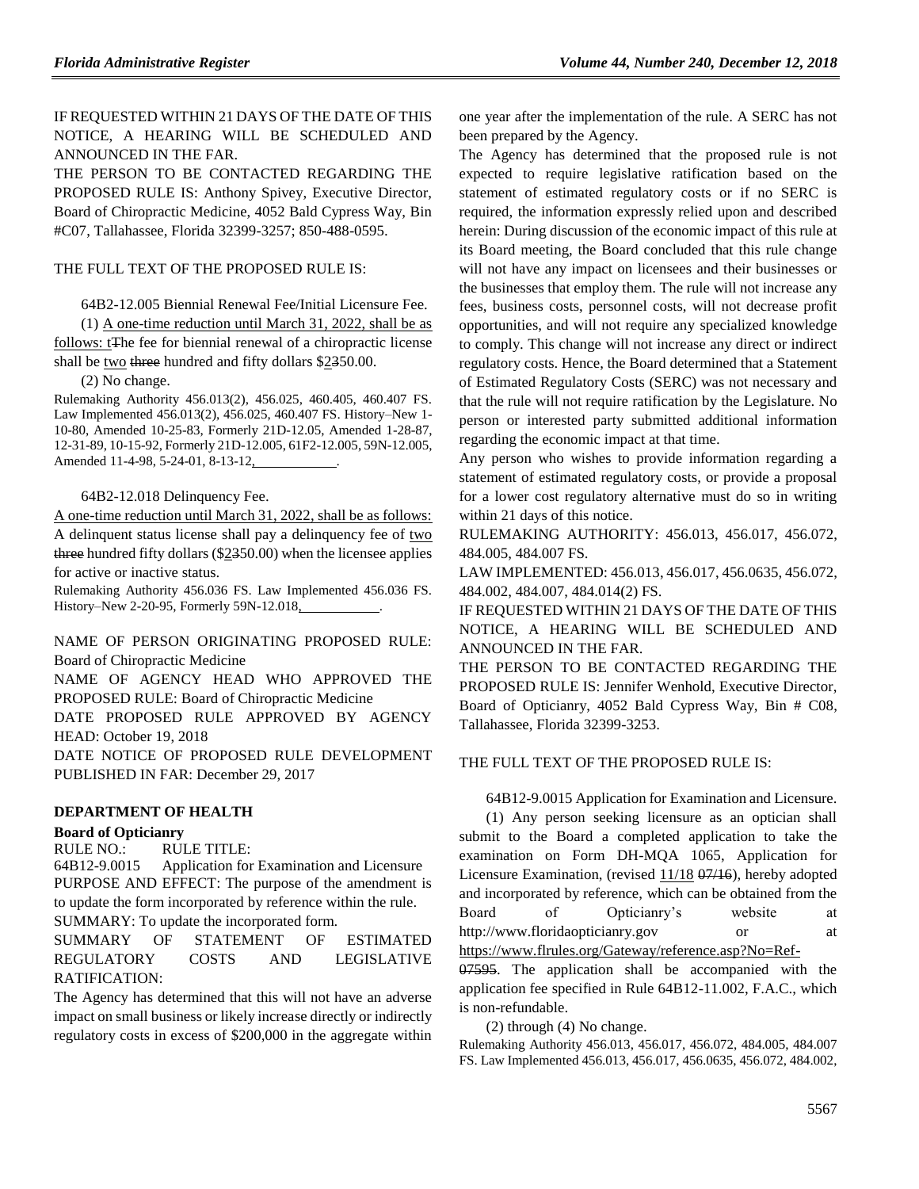IF REQUESTED WITHIN 21 DAYS OF THE DATE OF THIS NOTICE, A HEARING WILL BE SCHEDULED AND ANNOUNCED IN THE FAR.

THE PERSON TO BE CONTACTED REGARDING THE PROPOSED RULE IS: Anthony Spivey, Executive Director, Board of Chiropractic Medicine, 4052 Bald Cypress Way, Bin #C07, Tallahassee, Florida 32399-3257; 850-488-0595.

#### THE FULL TEXT OF THE PROPOSED RULE IS:

64B2-12.005 Biennial Renewal Fee/Initial Licensure Fee.

(1) A one-time reduction until March 31, 2022, shall be as follows: t<sub>The fee for biennial renewal of a chiropractic license</sub> shall be two three hundred and fifty dollars \$2350.00.

(2) No change.

Rulemaking Authority 456.013(2), 456.025, 460.405, 460.407 FS. Law Implemented 456.013(2), 456.025, 460.407 FS. History–New 1- 10-80, Amended 10-25-83, Formerly 21D-12.05, Amended 1-28-87, 12-31-89, 10-15-92, Formerly 21D-12.005, 61F2-12.005, 59N-12.005, Amended 11-4-98, 5-24-01, 8-13-12,

#### 64B2-12.018 Delinquency Fee.

A one-time reduction until March 31, 2022, shall be as follows: A delinquent status license shall pay a delinquency fee of two three hundred fifty dollars (\$2350.00) when the licensee applies for active or inactive status.

Rulemaking Authority 456.036 FS. Law Implemented 456.036 FS. History–New 2-20-95, Formerly 59N-12.018, .

NAME OF PERSON ORIGINATING PROPOSED RULE: Board of Chiropractic Medicine

NAME OF AGENCY HEAD WHO APPROVED THE PROPOSED RULE: Board of Chiropractic Medicine

DATE PROPOSED RULE APPROVED BY AGENCY HEAD: October 19, 2018

DATE NOTICE OF PROPOSED RULE DEVELOPMENT PUBLISHED IN FAR: December 29, 2017

### **[DEPARTMENT OF HEALTH](https://www.flrules.org/gateway/department.asp?id=64)**

#### **[Board of Opticianry](https://www.flrules.org/gateway/organization.asp?id=303)**

RULE NO.: RULE TITLE:

[64B12-9.0015](https://www.flrules.org/gateway/ruleNo.asp?id=64B12-9.0015) Application for Examination and Licensure PURPOSE AND EFFECT: The purpose of the amendment is to update the form incorporated by reference within the rule.

SUMMARY: To update the incorporated form.

SUMMARY OF STATEMENT OF ESTIMATED REGULATORY COSTS AND LEGISLATIVE RATIFICATION:

The Agency has determined that this will not have an adverse impact on small business or likely increase directly or indirectly regulatory costs in excess of \$200,000 in the aggregate within

one year after the implementation of the rule. A SERC has not been prepared by the Agency.

The Agency has determined that the proposed rule is not expected to require legislative ratification based on the statement of estimated regulatory costs or if no SERC is required, the information expressly relied upon and described herein: During discussion of the economic impact of this rule at its Board meeting, the Board concluded that this rule change will not have any impact on licensees and their businesses or the businesses that employ them. The rule will not increase any fees, business costs, personnel costs, will not decrease profit opportunities, and will not require any specialized knowledge to comply. This change will not increase any direct or indirect regulatory costs. Hence, the Board determined that a Statement of Estimated Regulatory Costs (SERC) was not necessary and that the rule will not require ratification by the Legislature. No person or interested party submitted additional information regarding the economic impact at that time.

Any person who wishes to provide information regarding a statement of estimated regulatory costs, or provide a proposal for a lower cost regulatory alternative must do so in writing within 21 days of this notice.

RULEMAKING AUTHORITY: [456.013,](https://www.flrules.org/gateway/statute.asp?id=456.013) [456.017,](https://www.flrules.org/gateway/statute.asp?id=%20456.017) [456.072,](https://www.flrules.org/gateway/statute.asp?id=%20456.072) [484.005,](https://www.flrules.org/gateway/statute.asp?id=%20484.005) [484.007 FS.](https://www.flrules.org/gateway/statute.asp?id=%20484.007%20FS.)

LAW IMPLEMENTED[: 456.013,](https://www.flrules.org/gateway/statute.asp?id=456.013) [456.017,](https://www.flrules.org/gateway/statute.asp?id=%20456.017) [456.0635,](https://www.flrules.org/gateway/statute.asp?id=%20456.0635) [456.072,](https://www.flrules.org/gateway/statute.asp?id=%20456.072) [484.002,](https://www.flrules.org/gateway/statute.asp?id=%20484.002) [484.007,](https://www.flrules.org/gateway/statute.asp?id=%20484.007) [484.014\(2\) FS.](https://www.flrules.org/gateway/statute.asp?id=%20484.014(2)%20FS.)

IF REQUESTED WITHIN 21 DAYS OF THE DATE OF THIS NOTICE, A HEARING WILL BE SCHEDULED AND ANNOUNCED IN THE FAR.

THE PERSON TO BE CONTACTED REGARDING THE PROPOSED RULE IS: Jennifer Wenhold, Executive Director, Board of Opticianry, 4052 Bald Cypress Way, Bin # C08, Tallahassee, Florida 32399-3253.

#### THE FULL TEXT OF THE PROPOSED RULE IS:

64B12-9.0015 Application for Examination and Licensure.

(1) Any person seeking licensure as an optician shall submit to the Board a completed application to take the examination on Form DH-MQA 1065, Application for Licensure Examination, (revised 11/18 07/16), hereby adopted and incorporated by reference, which can be obtained from the Board of Opticianry's website at http://www.floridaopticianry.gov or at <https://www.flrules.org/Gateway/reference.asp?No=Ref->

07595. The application shall be accompanied with the application fee specified in Rule 64B12-11.002, F.A.C., which is non-refundable.

(2) through (4) No change.

Rulemaking Authority 456.013, 456.017, 456.072, 484.005, 484.007 FS. Law Implemented 456.013, 456.017, 456.0635, 456.072, 484.002,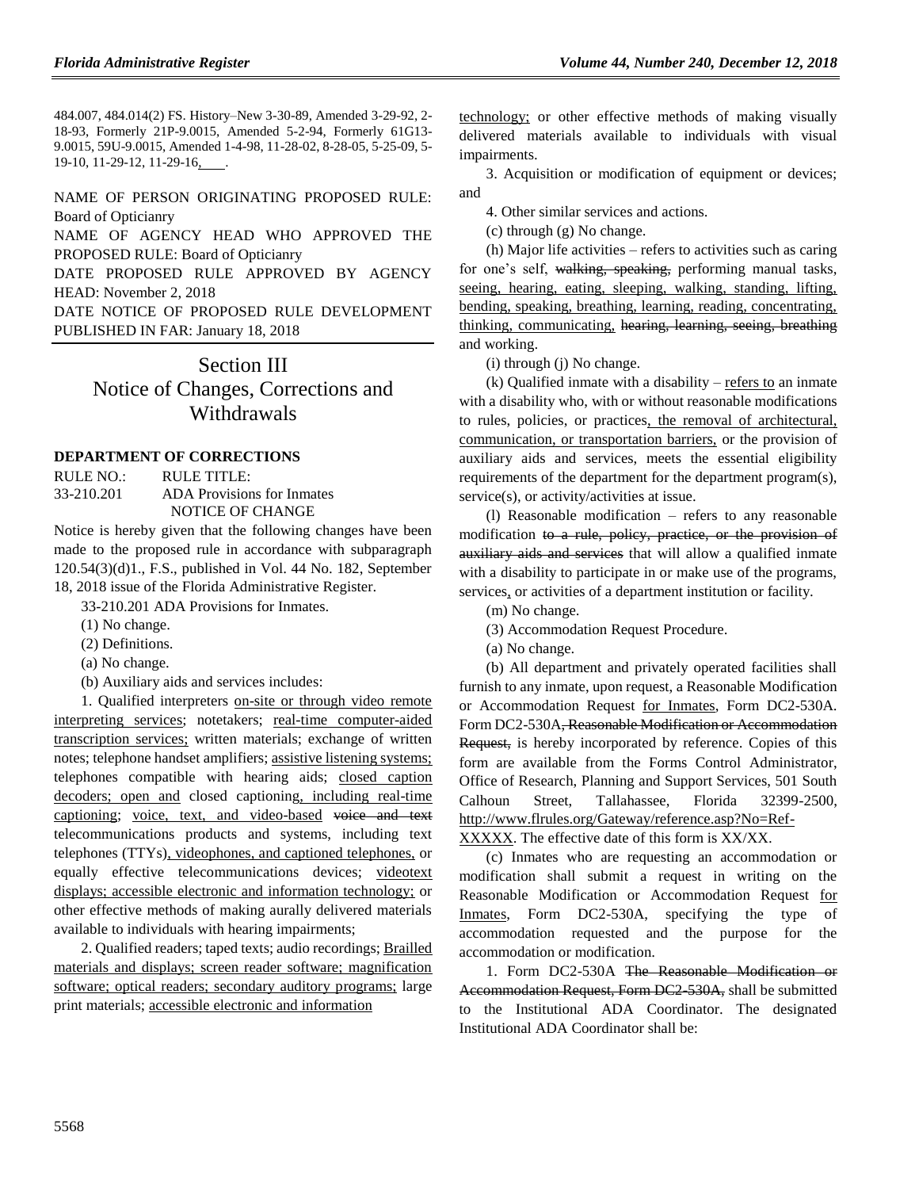484.007, 484.014(2) FS. History–New 3-30-89, Amended 3-29-92, 2- 18-93, Formerly 21P-9.0015, Amended 5-2-94, Formerly 61G13- 9.0015, 59U-9.0015, Amended 1-4-98, 11-28-02, 8-28-05, 5-25-09, 5- 19-10, 11-29-12, 11-29-16, .

### NAME OF PERSON ORIGINATING PROPOSED RULE: Board of Opticianry

NAME OF AGENCY HEAD WHO APPROVED THE PROPOSED RULE: Board of Opticianry

DATE PROPOSED RULE APPROVED BY AGENCY HEAD: November 2, 2018

DATE NOTICE OF PROPOSED RULE DEVELOPMENT PUBLISHED IN FAR: January 18, 2018

## Section III

Notice of Changes, Corrections and **Withdrawals** 

#### **[DEPARTMENT OF CORRECTIONS](https://www.flrules.org/gateway/department.asp?id=33)**

RULE NO.: RULE TITLE:<br>33-210.201 ADA Provision ADA Provisions for Inmates NOTICE OF CHANGE

Notice is hereby given that the following changes have been made to the proposed rule in accordance with subparagraph 120.54(3)(d)1., F.S., published in Vol. 44 No. 182, September 18, 2018 issue of the Florida Administrative Register.

33-210.201 ADA Provisions for Inmates.

- (1) No change.
- (2) Definitions.
- (a) No change.
- (b) Auxiliary aids and services includes:

1. Qualified interpreters on-site or through video remote interpreting services; notetakers; real-time computer-aided transcription services; written materials; exchange of written notes; telephone handset amplifiers; assistive listening systems; telephones compatible with hearing aids; closed caption decoders; open and closed captioning, including real-time captioning; voice, text, and video-based voice and text telecommunications products and systems, including text telephones (TTYs), videophones, and captioned telephones, or equally effective telecommunications devices; videotext displays; accessible electronic and information technology; or other effective methods of making aurally delivered materials available to individuals with hearing impairments;

2. Qualified readers; taped texts; audio recordings; Brailled materials and displays; screen reader software; magnification software; optical readers; secondary auditory programs; large print materials; accessible electronic and information

technology; or other effective methods of making visually delivered materials available to individuals with visual impairments.

3. Acquisition or modification of equipment or devices; and

4. Other similar services and actions.

(c) through (g) No change.

(h) Major life activities – refers to activities such as caring for one's self, walking, speaking, performing manual tasks, seeing, hearing, eating, sleeping, walking, standing, lifting, bending, speaking, breathing, learning, reading, concentrating, thinking, communicating, hearing, learning, seeing, breathing and working.

(i) through (j) No change.

(k) Qualified inmate with a disability – refers to an inmate with a disability who, with or without reasonable modifications to rules, policies, or practices, the removal of architectural, communication, or transportation barriers, or the provision of auxiliary aids and services, meets the essential eligibility requirements of the department for the department program(s), service(s), or activity/activities at issue.

(l) Reasonable modification – refers to any reasonable modification to a rule, policy, practice, or the provision of auxiliary aids and services that will allow a qualified inmate with a disability to participate in or make use of the programs, services, or activities of a department institution or facility.

(m) No change.

- (3) Accommodation Request Procedure.
- (a) No change.

(b) All department and privately operated facilities shall furnish to any inmate, upon request, a Reasonable Modification or Accommodation Request for Inmates, Form DC2-530A. Form DC2-530A, Reasonable Modification or Accommodation Request, is hereby incorporated by reference. Copies of this form are available from the Forms Control Administrator, Office of Research, Planning and Support Services, 501 South Calhoun Street, Tallahassee, Florida 32399-2500, http://www.flrules.org/Gateway/reference.asp?No=Ref-XXXXX. The effective date of this form is XX/XX.

(c) Inmates who are requesting an accommodation or

modification shall submit a request in writing on the Reasonable Modification or Accommodation Request for Inmates, Form DC2-530A, specifying the type of accommodation requested and the purpose for the accommodation or modification.

1. Form DC2-530A The Reasonable Modification or Accommodation Request, Form DC2-530A, shall be submitted to the Institutional ADA Coordinator. The designated Institutional ADA Coordinator shall be: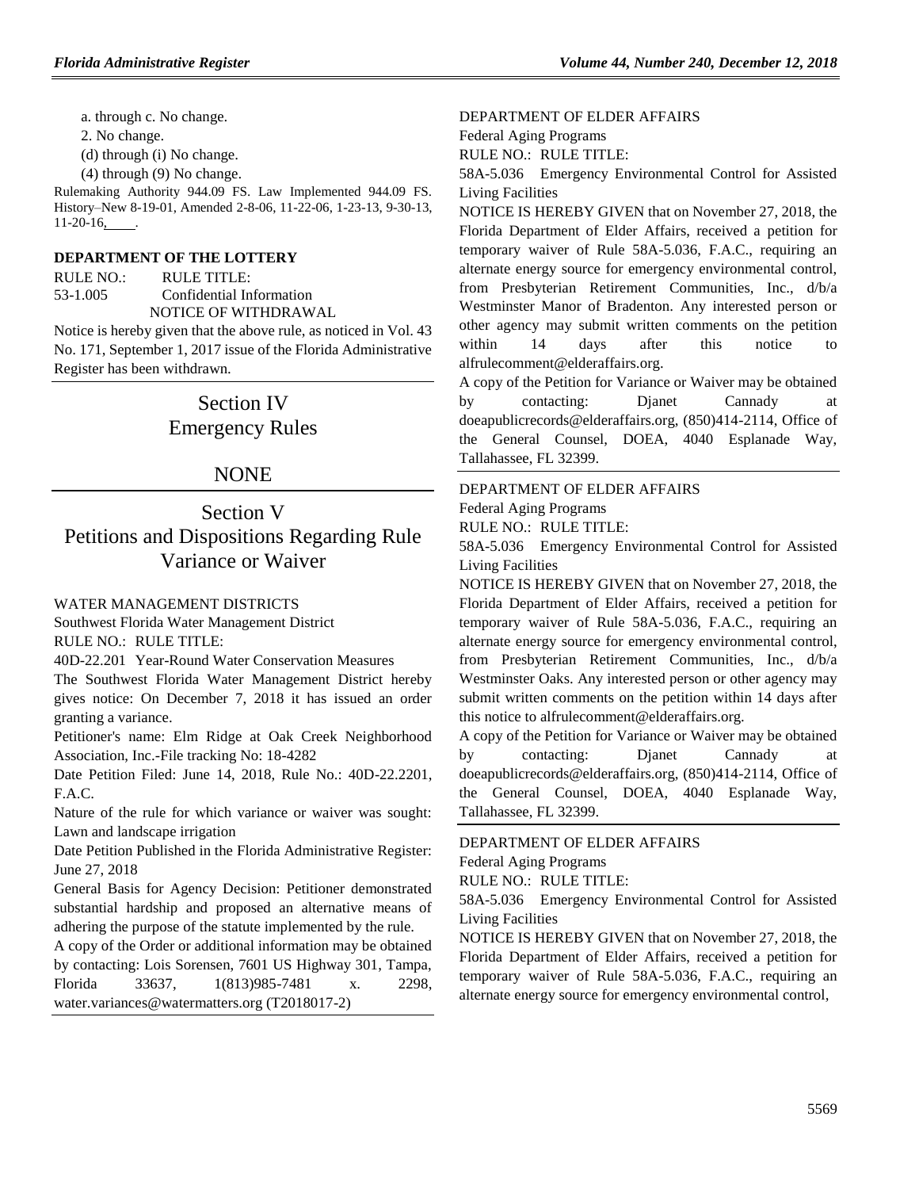a. through c. No change.

2. No change.

(d) through (i) No change.

(4) through (9) No change.

Rulemaking Authority 944.09 FS. Law Implemented 944.09 FS. History–New 8-19-01, Amended 2-8-06, 11-22-06, 1-23-13, 9-30-13, 11-20-16, .

### **[DEPARTMENT OF THE LOTTERY](https://www.flrules.org/gateway/department.asp?id=53)**

RULE NO.: RULE TITLE: [53-1.005](https://www.flrules.org/gateway/ruleNo.asp?id=53-1.005) Confidential Information NOTICE OF WITHDRAWAL

Notice is hereby given that the above rule, as noticed in Vol. 43 No. 171, September 1, 2017 issue of the Florida Administrative Register has been withdrawn.

# Section IV Emergency Rules

## NONE

# Section V Petitions and Dispositions Regarding Rule Variance or Waiver

#### [WATER MANAGEMENT DISTRICTS](https://www.flrules.org/gateway/department.asp?id=40)

[Southwest Florida Water Management District](https://www.flrules.org/gateway/organization.asp?id=123) RULE NO.: RULE TITLE:

[40D-22.201](https://www.flrules.org/gateway/ruleNo.asp?id=40D-22.201) Year-Round Water Conservation Measures

The Southwest Florida Water Management District hereby gives notice: On December 7, 2018 it has issued an order granting a variance.

Petitioner's name: Elm Ridge at Oak Creek Neighborhood Association, Inc.-File tracking No: 18-4282

Date Petition Filed: June 14, 2018, Rule No.: 40D-22.2201, F.A.C.

Nature of the rule for which variance or waiver was sought: Lawn and landscape irrigation

Date Petition Published in the Florida Administrative Register: June 27, 2018

General Basis for Agency Decision: Petitioner demonstrated substantial hardship and proposed an alternative means of adhering the purpose of the statute implemented by the rule.

A copy of the Order or additional information may be obtained by contacting: Lois Sorensen, 7601 US Highway 301, Tampa, Florida 33637, 1(813)985-7481 x. 2298, water.variances@watermatters.org (T2018017-2)

[DEPARTMENT OF ELDER AFFAIRS](https://www.flrules.org/gateway/department.asp?id=58)

[Federal Aging Programs](https://www.flrules.org/gateway/organization.asp?id=179)

RULE NO.: RULE TITLE:

[58A-5.036](https://www.flrules.org/gateway/ruleNo.asp?id=58A-5.036) Emergency Environmental Control for Assisted Living Facilities

NOTICE IS HEREBY GIVEN that on November 27, 2018, the Florida Department of Elder Affairs, received a petition for temporary waiver of Rule 58A-5.036, F.A.C., requiring an alternate energy source for emergency environmental control, from Presbyterian Retirement Communities, Inc., d/b/a Westminster Manor of Bradenton. Any interested person or other agency may submit written comments on the petition within 14 days after this notice to alfrulecomment@elderaffairs.org.

A copy of the Petition for Variance or Waiver may be obtained by contacting: Djanet Cannady at doeapublicrecords@elderaffairs.org, (850)414-2114, Office of the General Counsel, DOEA, 4040 Esplanade Way, Tallahassee, FL 32399.

#### [DEPARTMENT OF ELDER AFFAIRS](https://www.flrules.org/gateway/department.asp?id=58)

[Federal Aging Programs](https://www.flrules.org/gateway/organization.asp?id=179)

RULE NO.: RULE TITLE:

[58A-5.036](https://www.flrules.org/gateway/ruleNo.asp?id=58A-5.036) Emergency Environmental Control for Assisted Living Facilities

NOTICE IS HEREBY GIVEN that on November 27, 2018, the Florida Department of Elder Affairs, received a petition for temporary waiver of Rule 58A-5.036, F.A.C., requiring an alternate energy source for emergency environmental control, from Presbyterian Retirement Communities, Inc., d/b/a Westminster Oaks. Any interested person or other agency may submit written comments on the petition within 14 days after this notice to alfrulecomment@elderaffairs.org.

A copy of the Petition for Variance or Waiver may be obtained by contacting: Djanet Cannady at doeapublicrecords@elderaffairs.org, (850)414-2114, Office of the General Counsel, DOEA, 4040 Esplanade Way, Tallahassee, FL 32399.

[DEPARTMENT OF ELDER AFFAIRS](https://www.flrules.org/gateway/department.asp?id=58) [Federal Aging Programs](https://www.flrules.org/gateway/organization.asp?id=179)

RULE NO.: RULE TITLE:

[58A-5.036](https://www.flrules.org/gateway/ruleNo.asp?id=58A-5.036) Emergency Environmental Control for Assisted Living Facilities

NOTICE IS HEREBY GIVEN that on November 27, 2018, the Florida Department of Elder Affairs, received a petition for temporary waiver of Rule 58A-5.036, F.A.C., requiring an alternate energy source for emergency environmental control,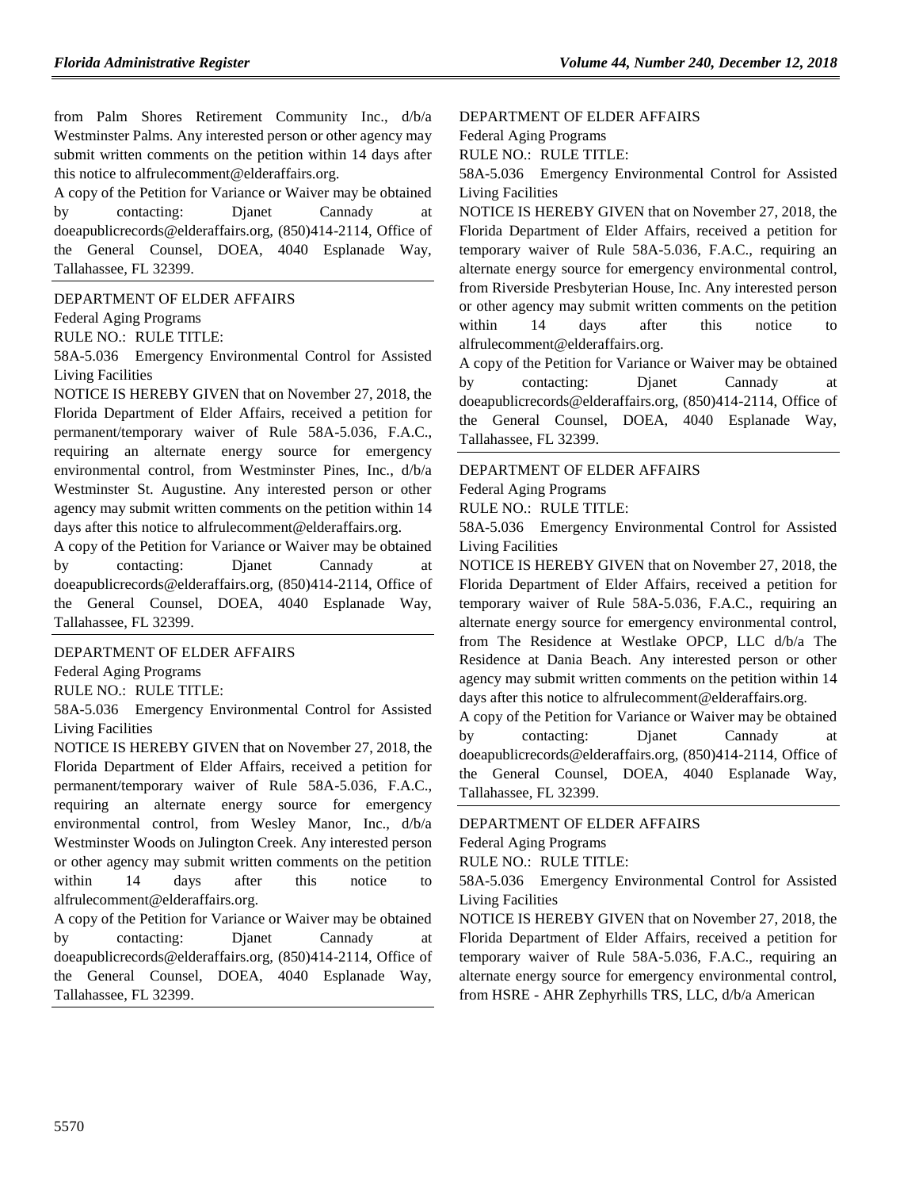from Palm Shores Retirement Community Inc., d/b/a Westminster Palms. Any interested person or other agency may submit written comments on the petition within 14 days after this notice to alfrulecomment@elderaffairs.org.

A copy of the Petition for Variance or Waiver may be obtained by contacting: Djanet Cannady at doeapublicrecords@elderaffairs.org, (850)414-2114, Office of the General Counsel, DOEA, 4040 Esplanade Way, Tallahassee, FL 32399.

[DEPARTMENT OF ELDER AFFAIRS](https://www.flrules.org/gateway/department.asp?id=58)

[Federal Aging Programs](https://www.flrules.org/gateway/organization.asp?id=179)

RULE NO.: RULE TITLE:

[58A-5.036](https://www.flrules.org/gateway/ruleNo.asp?id=58A-5.036) Emergency Environmental Control for Assisted Living Facilities

NOTICE IS HEREBY GIVEN that on November 27, 2018, the Florida Department of Elder Affairs, received a petition for permanent/temporary waiver of Rule 58A-5.036, F.A.C., requiring an alternate energy source for emergency environmental control, from Westminster Pines, Inc., d/b/a Westminster St. Augustine. Any interested person or other agency may submit written comments on the petition within 14 days after this notice to alfrulecomment@elderaffairs.org.

A copy of the Petition for Variance or Waiver may be obtained by contacting: Djanet Cannady at doeapublicrecords@elderaffairs.org, (850)414-2114, Office of the General Counsel, DOEA, 4040 Esplanade Way, Tallahassee, FL 32399.

[DEPARTMENT OF ELDER AFFAIRS](https://www.flrules.org/gateway/department.asp?id=58)

[Federal Aging Programs](https://www.flrules.org/gateway/organization.asp?id=179)

RULE NO.: RULE TITLE:

[58A-5.036](https://www.flrules.org/gateway/ruleNo.asp?id=58A-5.036) Emergency Environmental Control for Assisted Living Facilities

NOTICE IS HEREBY GIVEN that on November 27, 2018, the Florida Department of Elder Affairs, received a petition for permanent/temporary waiver of Rule 58A-5.036, F.A.C., requiring an alternate energy source for emergency environmental control, from Wesley Manor, Inc., d/b/a Westminster Woods on Julington Creek. Any interested person or other agency may submit written comments on the petition within 14 days after this notice to alfrulecomment@elderaffairs.org.

A copy of the Petition for Variance or Waiver may be obtained by contacting: Dianet Cannady at doeapublicrecords@elderaffairs.org, (850)414-2114, Office of the General Counsel, DOEA, 4040 Esplanade Way, Tallahassee, FL 32399.

[DEPARTMENT OF ELDER AFFAIRS](https://www.flrules.org/gateway/department.asp?id=58)

[Federal Aging Programs](https://www.flrules.org/gateway/organization.asp?id=179)

RULE NO.: RULE TITLE:

[58A-5.036](https://www.flrules.org/gateway/ruleNo.asp?id=58A-5.036) Emergency Environmental Control for Assisted Living Facilities

NOTICE IS HEREBY GIVEN that on November 27, 2018, the Florida Department of Elder Affairs, received a petition for temporary waiver of Rule 58A-5.036, F.A.C., requiring an alternate energy source for emergency environmental control, from Riverside Presbyterian House, Inc. Any interested person or other agency may submit written comments on the petition within 14 days after this notice to alfrulecomment@elderaffairs.org.

A copy of the Petition for Variance or Waiver may be obtained by contacting: Djanet Cannady at doeapublicrecords@elderaffairs.org, (850)414-2114, Office of the General Counsel, DOEA, 4040 Esplanade Way, Tallahassee, FL 32399.

[DEPARTMENT OF ELDER AFFAIRS](https://www.flrules.org/gateway/department.asp?id=58)

[Federal Aging Programs](https://www.flrules.org/gateway/organization.asp?id=179)

RULE NO.: RULE TITLE:

[58A-5.036](https://www.flrules.org/gateway/ruleNo.asp?id=58A-5.036) Emergency Environmental Control for Assisted Living Facilities

NOTICE IS HEREBY GIVEN that on November 27, 2018, the Florida Department of Elder Affairs, received a petition for temporary waiver of Rule 58A-5.036, F.A.C., requiring an alternate energy source for emergency environmental control, from The Residence at Westlake OPCP, LLC d/b/a The Residence at Dania Beach. Any interested person or other agency may submit written comments on the petition within 14 days after this notice to alfrulecomment@elderaffairs.org.

A copy of the Petition for Variance or Waiver may be obtained by contacting: Djanet Cannady at doeapublicrecords@elderaffairs.org, (850)414-2114, Office of the General Counsel, DOEA, 4040 Esplanade Way, Tallahassee, FL 32399.

[DEPARTMENT OF ELDER AFFAIRS](https://www.flrules.org/gateway/department.asp?id=58)

[Federal Aging Programs](https://www.flrules.org/gateway/organization.asp?id=179)

RULE NO.: RULE TITLE:

[58A-5.036](https://www.flrules.org/gateway/ruleNo.asp?id=58A-5.036) Emergency Environmental Control for Assisted Living Facilities

NOTICE IS HEREBY GIVEN that on November 27, 2018, the Florida Department of Elder Affairs, received a petition for temporary waiver of Rule 58A-5.036, F.A.C., requiring an alternate energy source for emergency environmental control, from HSRE - AHR Zephyrhills TRS, LLC, d/b/a American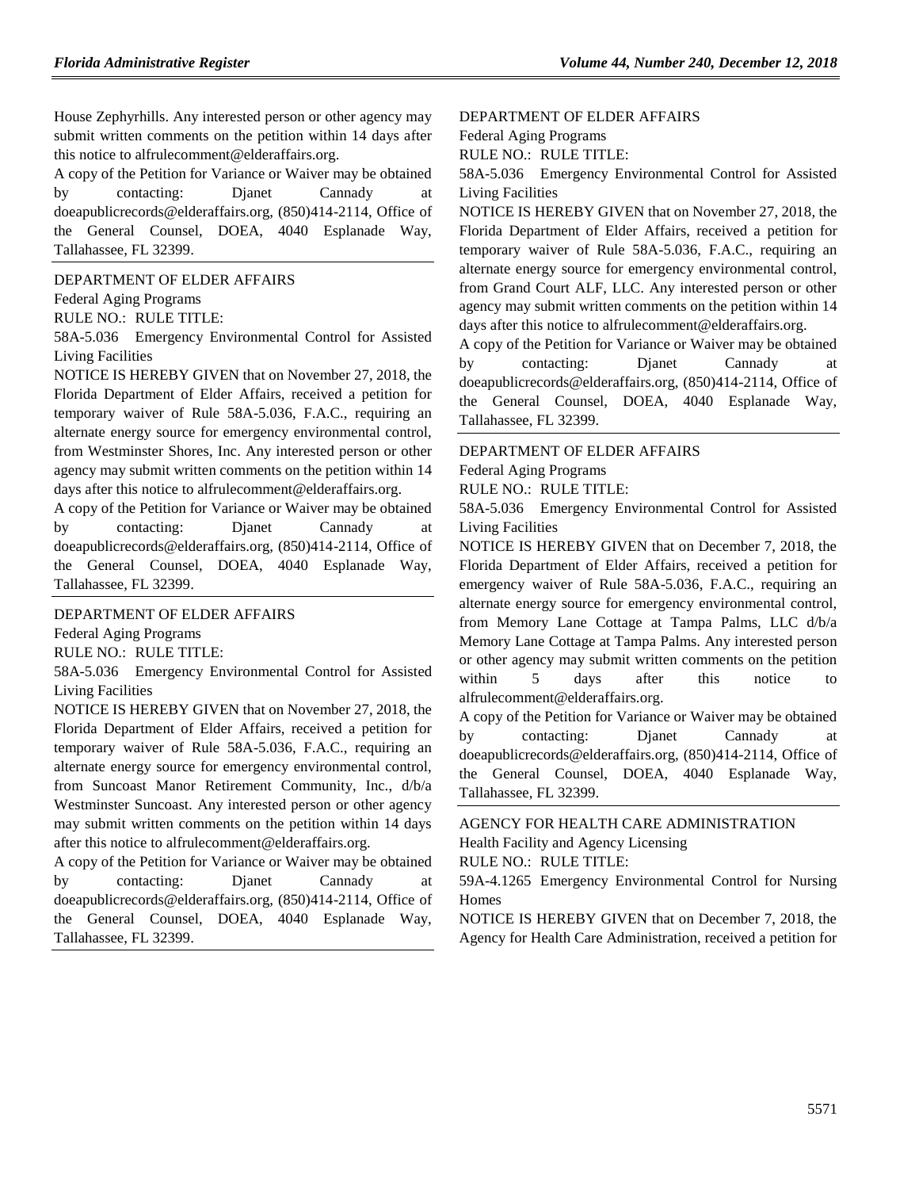House Zephyrhills. Any interested person or other agency may submit written comments on the petition within 14 days after this notice to alfrulecomment@elderaffairs.org.

A copy of the Petition for Variance or Waiver may be obtained by contacting: Djanet Cannady at doeapublicrecords@elderaffairs.org, (850)414-2114, Office of the General Counsel, DOEA, 4040 Esplanade Way, Tallahassee, FL 32399.

[DEPARTMENT OF ELDER AFFAIRS](https://www.flrules.org/gateway/department.asp?id=58)

[Federal Aging Programs](https://www.flrules.org/gateway/organization.asp?id=179)

RULE NO.: RULE TITLE:

[58A-5.036](https://www.flrules.org/gateway/ruleNo.asp?id=58A-5.036) Emergency Environmental Control for Assisted Living Facilities

NOTICE IS HEREBY GIVEN that on November 27, 2018, the Florida Department of Elder Affairs, received a petition for temporary waiver of Rule 58A-5.036, F.A.C., requiring an alternate energy source for emergency environmental control, from Westminster Shores, Inc. Any interested person or other agency may submit written comments on the petition within 14 days after this notice to alfrulecomment@elderaffairs.org.

A copy of the Petition for Variance or Waiver may be obtained by contacting: Dianet Cannady at doeapublicrecords@elderaffairs.org, (850)414-2114, Office of the General Counsel, DOEA, 4040 Esplanade Way, Tallahassee, FL 32399.

#### [DEPARTMENT OF ELDER AFFAIRS](https://www.flrules.org/gateway/department.asp?id=58)

[Federal Aging Programs](https://www.flrules.org/gateway/organization.asp?id=179)

RULE NO.: RULE TITLE:

[58A-5.036](https://www.flrules.org/gateway/ruleNo.asp?id=58A-5.036) Emergency Environmental Control for Assisted Living Facilities

NOTICE IS HEREBY GIVEN that on November 27, 2018, the Florida Department of Elder Affairs, received a petition for temporary waiver of Rule 58A-5.036, F.A.C., requiring an alternate energy source for emergency environmental control, from Suncoast Manor Retirement Community, Inc., d/b/a Westminster Suncoast. Any interested person or other agency may submit written comments on the petition within 14 days after this notice to alfrulecomment@elderaffairs.org.

A copy of the Petition for Variance or Waiver may be obtained by contacting: Djanet Cannady at doeapublicrecords@elderaffairs.org, (850)414-2114, Office of the General Counsel, DOEA, 4040 Esplanade Way, Tallahassee, FL 32399.

[DEPARTMENT OF ELDER AFFAIRS](https://www.flrules.org/gateway/department.asp?id=58)

[Federal Aging Programs](https://www.flrules.org/gateway/organization.asp?id=179)

RULE NO.: RULE TITLE:

[58A-5.036](https://www.flrules.org/gateway/ruleNo.asp?id=58A-5.036) Emergency Environmental Control for Assisted Living Facilities

NOTICE IS HEREBY GIVEN that on November 27, 2018, the Florida Department of Elder Affairs, received a petition for temporary waiver of Rule 58A-5.036, F.A.C., requiring an alternate energy source for emergency environmental control, from Grand Court ALF, LLC. Any interested person or other agency may submit written comments on the petition within 14 days after this notice to alfrulecomment@elderaffairs.org.

A copy of the Petition for Variance or Waiver may be obtained by contacting: Djanet Cannady at doeapublicrecords@elderaffairs.org, (850)414-2114, Office of the General Counsel, DOEA, 4040 Esplanade Way, Tallahassee, FL 32399.

#### [DEPARTMENT OF ELDER AFFAIRS](https://www.flrules.org/gateway/department.asp?id=58)

[Federal Aging Programs](https://www.flrules.org/gateway/organization.asp?id=179)

RULE NO.: RULE TITLE:

[58A-5.036](https://www.flrules.org/gateway/ruleNo.asp?id=58A-5.036) Emergency Environmental Control for Assisted Living Facilities

NOTICE IS HEREBY GIVEN that on December 7, 2018, the Florida Department of Elder Affairs, received a petition for emergency waiver of Rule 58A-5.036, F.A.C., requiring an alternate energy source for emergency environmental control, from Memory Lane Cottage at Tampa Palms, LLC d/b/a Memory Lane Cottage at Tampa Palms. Any interested person or other agency may submit written comments on the petition within 5 days after this notice to alfrulecomment@elderaffairs.org.

A copy of the Petition for Variance or Waiver may be obtained by contacting: Djanet Cannady at doeapublicrecords@elderaffairs.org, (850)414-2114, Office of the General Counsel, DOEA, 4040 Esplanade Way, Tallahassee, FL 32399.

# [AGENCY FOR HEALTH CARE ADMINISTRATION](https://www.flrules.org/gateway/department.asp?id=59) [Health Facility and Agency Licensing](https://www.flrules.org/gateway/organization.asp?id=186)

RULE NO.: RULE TITLE:

[59A-4.1265](https://www.flrules.org/gateway/ruleNo.asp?id=59A-4.1265) Emergency Environmental Control for Nursing Homes

NOTICE IS HEREBY GIVEN that on December 7, 2018, the Agency for Health Care Administration, received a petition for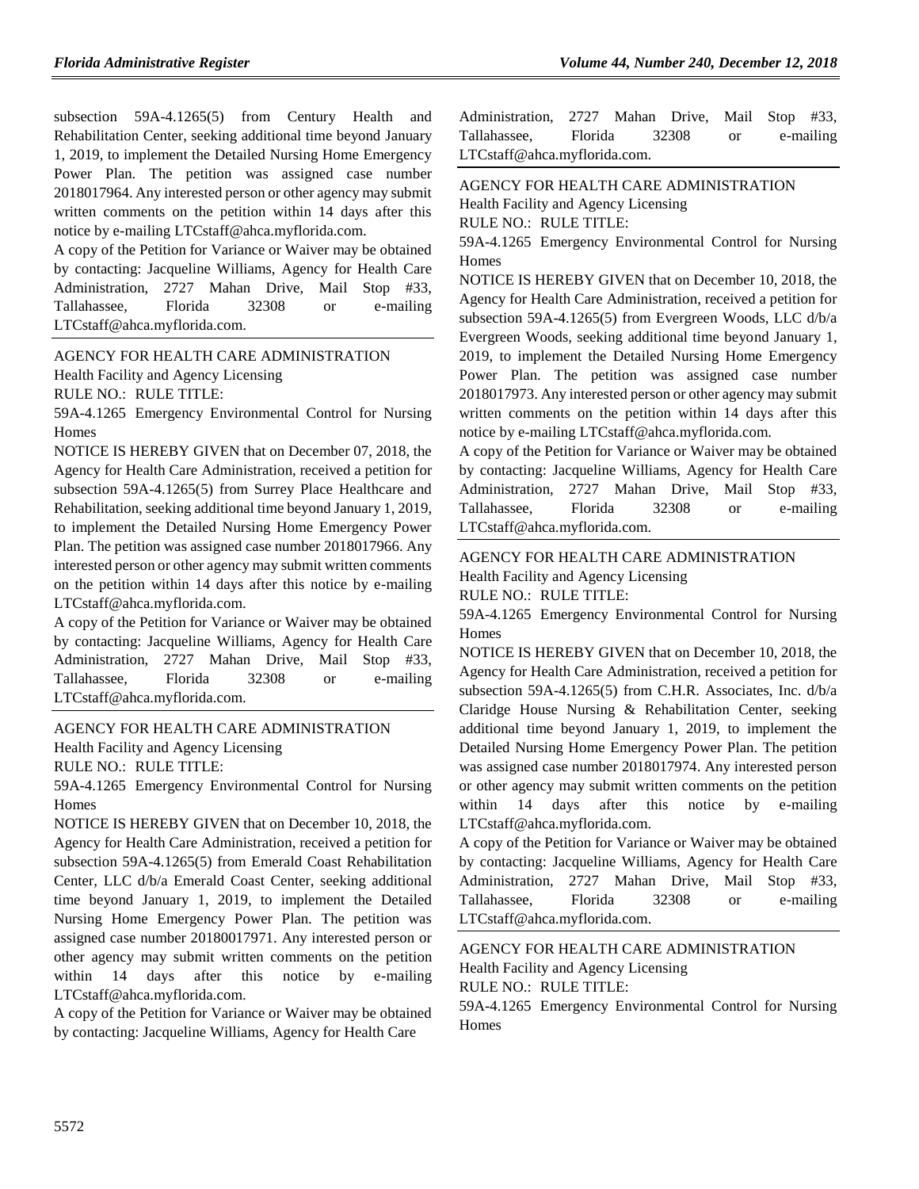subsection 59A-4.1265(5) from Century Health and Rehabilitation Center, seeking additional time beyond January 1, 2019, to implement the Detailed Nursing Home Emergency Power Plan. The petition was assigned case number 2018017964. Any interested person or other agency may submit written comments on the petition within 14 days after this notice by e-mailing LTCstaff@ahca.myflorida.com.

A copy of the Petition for Variance or Waiver may be obtained by contacting: Jacqueline Williams, Agency for Health Care Administration, 2727 Mahan Drive, Mail Stop #33, Tallahassee, Florida 32308 or e-mailing LTCstaff@ahca.myflorida.com.

#### [AGENCY FOR HEALTH CARE ADMINISTRATION](https://www.flrules.org/gateway/department.asp?id=59) [Health Facility and Agency Licensing](https://www.flrules.org/gateway/organization.asp?id=186)

RULE NO.: RULE TITLE:

[59A-4.1265](https://www.flrules.org/gateway/ruleNo.asp?id=59A-4.1265) Emergency Environmental Control for Nursing **Homes** 

NOTICE IS HEREBY GIVEN that on December 07, 2018, the Agency for Health Care Administration, received a petition for subsection 59A-4.1265(5) from Surrey Place Healthcare and Rehabilitation, seeking additional time beyond January 1, 2019, to implement the Detailed Nursing Home Emergency Power Plan. The petition was assigned case number 2018017966. Any interested person or other agency may submit written comments on the petition within 14 days after this notice by e-mailing LTCstaff@ahca.myflorida.com.

A copy of the Petition for Variance or Waiver may be obtained by contacting: Jacqueline Williams, Agency for Health Care Administration, 2727 Mahan Drive, Mail Stop #33, Tallahassee, Florida 32308 or e-mailing LTCstaff@ahca.myflorida.com.

#### [AGENCY FOR HEALTH CARE ADMINISTRATION](https://www.flrules.org/gateway/department.asp?id=59)

[Health Facility and Agency Licensing](https://www.flrules.org/gateway/organization.asp?id=186)

RULE NO.: RULE TITLE:

[59A-4.1265](https://www.flrules.org/gateway/ruleNo.asp?id=59A-4.1265) Emergency Environmental Control for Nursing Homes

NOTICE IS HEREBY GIVEN that on December 10, 2018, the Agency for Health Care Administration, received a petition for subsection 59A-4.1265(5) from Emerald Coast Rehabilitation Center, LLC d/b/a Emerald Coast Center, seeking additional time beyond January 1, 2019, to implement the Detailed Nursing Home Emergency Power Plan. The petition was assigned case number 20180017971. Any interested person or other agency may submit written comments on the petition within 14 days after this notice by e-mailing LTCstaff@ahca.myflorida.com.

A copy of the Petition for Variance or Waiver may be obtained by contacting: Jacqueline Williams, Agency for Health Care

| Administration, 2727 Mahan Drive, Mail Stop #33, |  |       |      |           |
|--------------------------------------------------|--|-------|------|-----------|
| Tallahassee, Florida                             |  | 32308 | - or | e-mailing |
| LTCstaff@ahca.myflorida.com.                     |  |       |      |           |

### [AGENCY FOR HEALTH CARE ADMINISTRATION](https://www.flrules.org/gateway/department.asp?id=59)

[Health Facility and Agency Licensing](https://www.flrules.org/gateway/organization.asp?id=186)

RULE NO.: RULE TITLE:

[59A-4.1265](https://www.flrules.org/gateway/ruleNo.asp?id=59A-4.1265) Emergency Environmental Control for Nursing **Homes** 

NOTICE IS HEREBY GIVEN that on December 10, 2018, the Agency for Health Care Administration, received a petition for subsection 59A-4.1265(5) from Evergreen Woods, LLC d/b/a Evergreen Woods, seeking additional time beyond January 1, 2019, to implement the Detailed Nursing Home Emergency Power Plan. The petition was assigned case number 2018017973. Any interested person or other agency may submit written comments on the petition within 14 days after this notice by e-mailing LTCstaff@ahca.myflorida.com.

A copy of the Petition for Variance or Waiver may be obtained by contacting: Jacqueline Williams, Agency for Health Care Administration, 2727 Mahan Drive, Mail Stop #33, Tallahassee, Florida 32308 or e-mailing LTCstaff@ahca.myflorida.com.

# [AGENCY FOR HEALTH CARE ADMINISTRATION](https://www.flrules.org/gateway/department.asp?id=59)

[Health Facility and Agency Licensing](https://www.flrules.org/gateway/organization.asp?id=186)

RULE NO.: RULE TITLE:

[59A-4.1265](https://www.flrules.org/gateway/ruleNo.asp?id=59A-4.1265) Emergency Environmental Control for Nursing **Homes** 

NOTICE IS HEREBY GIVEN that on December 10, 2018, the Agency for Health Care Administration, received a petition for subsection 59A-4.1265(5) from C.H.R. Associates, Inc. d/b/a Claridge House Nursing & Rehabilitation Center, seeking additional time beyond January 1, 2019, to implement the Detailed Nursing Home Emergency Power Plan. The petition was assigned case number 2018017974. Any interested person or other agency may submit written comments on the petition within 14 days after this notice by e-mailing LTCstaff@ahca.myflorida.com.

A copy of the Petition for Variance or Waiver may be obtained by contacting: Jacqueline Williams, Agency for Health Care Administration, 2727 Mahan Drive, Mail Stop #33, Tallahassee, Florida 32308 or e-mailing LTCstaff@ahca.myflorida.com.

### [AGENCY FOR HEALTH CARE ADMINISTRATION](https://www.flrules.org/gateway/department.asp?id=59) [Health Facility and Agency Licensing](https://www.flrules.org/gateway/organization.asp?id=186) RULE NO.: RULE TITLE:

[59A-4.1265](https://www.flrules.org/gateway/ruleNo.asp?id=59A-4.1265) Emergency Environmental Control for Nursing Homes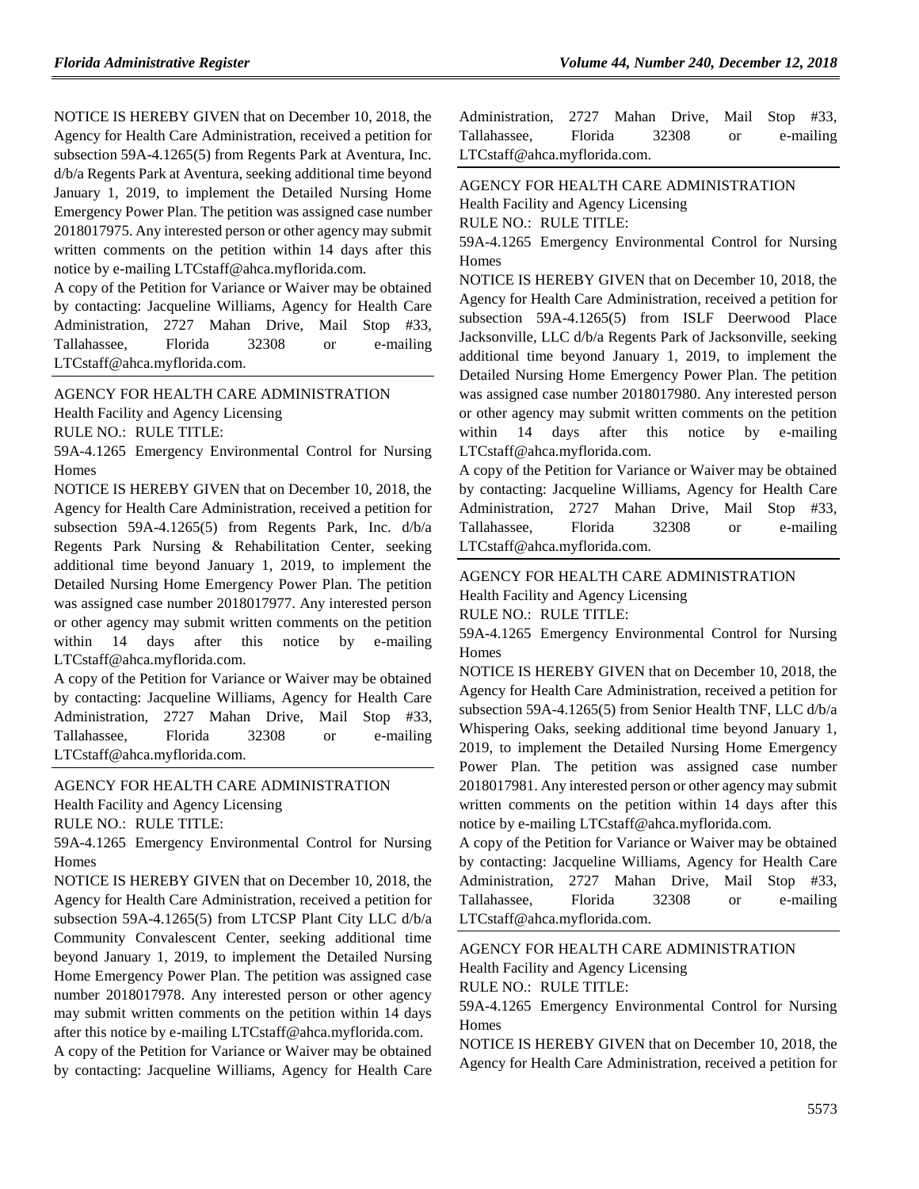NOTICE IS HEREBY GIVEN that on December 10, 2018, the Agency for Health Care Administration, received a petition for subsection 59A-4.1265(5) from Regents Park at Aventura, Inc. d/b/a Regents Park at Aventura, seeking additional time beyond January 1, 2019, to implement the Detailed Nursing Home Emergency Power Plan. The petition was assigned case number 2018017975. Any interested person or other agency may submit written comments on the petition within 14 days after this notice by e-mailing LTCstaff@ahca.myflorida.com.

A copy of the Petition for Variance or Waiver may be obtained by contacting: Jacqueline Williams, Agency for Health Care Administration, 2727 Mahan Drive, Mail Stop #33, Tallahassee, Florida 32308 or e-mailing LTCstaff@ahca.myflorida.com.

[AGENCY FOR HEALTH CARE ADMINISTRATION](https://www.flrules.org/gateway/department.asp?id=59)

[Health Facility and Agency Licensing](https://www.flrules.org/gateway/organization.asp?id=186)

RULE NO.: RULE TITLE:

[59A-4.1265](https://www.flrules.org/gateway/ruleNo.asp?id=59A-4.1265) Emergency Environmental Control for Nursing Homes

NOTICE IS HEREBY GIVEN that on December 10, 2018, the Agency for Health Care Administration, received a petition for subsection 59A-4.1265(5) from Regents Park, Inc. d/b/a Regents Park Nursing & Rehabilitation Center, seeking additional time beyond January 1, 2019, to implement the Detailed Nursing Home Emergency Power Plan. The petition was assigned case number 2018017977. Any interested person or other agency may submit written comments on the petition within 14 days after this notice by e-mailing LTCstaff@ahca.myflorida.com.

A copy of the Petition for Variance or Waiver may be obtained by contacting: Jacqueline Williams, Agency for Health Care Administration, 2727 Mahan Drive, Mail Stop #33, Tallahassee, Florida 32308 or e-mailing LTCstaff@ahca.myflorida.com.

#### [AGENCY FOR HEALTH CARE ADMINISTRATION](https://www.flrules.org/gateway/department.asp?id=59)

[Health Facility and Agency Licensing](https://www.flrules.org/gateway/organization.asp?id=186)

RULE NO.: RULE TITLE:

[59A-4.1265](https://www.flrules.org/gateway/ruleNo.asp?id=59A-4.1265) Emergency Environmental Control for Nursing Homes

NOTICE IS HEREBY GIVEN that on December 10, 2018, the Agency for Health Care Administration, received a petition for subsection 59A-4.1265(5) from LTCSP Plant City LLC d/b/a Community Convalescent Center, seeking additional time beyond January 1, 2019, to implement the Detailed Nursing Home Emergency Power Plan. The petition was assigned case number 2018017978. Any interested person or other agency may submit written comments on the petition within 14 days after this notice by e-mailing LTCstaff@ahca.myflorida.com.

A copy of the Petition for Variance or Waiver may be obtained by contacting: Jacqueline Williams, Agency for Health Care

| Administration, 2727 Mahan Drive, Mail Stop #33, |  |       |      |           |
|--------------------------------------------------|--|-------|------|-----------|
| Tallahassee, Florida                             |  | 32308 | - or | e-mailing |
| LTCstaff@ahca.myflorida.com.                     |  |       |      |           |

[AGENCY FOR HEALTH CARE ADMINISTRATION](https://www.flrules.org/gateway/department.asp?id=59)

[Health Facility and Agency Licensing](https://www.flrules.org/gateway/organization.asp?id=186)

RULE NO.: RULE TITLE:

[59A-4.1265](https://www.flrules.org/gateway/ruleNo.asp?id=59A-4.1265) Emergency Environmental Control for Nursing **Homes** 

NOTICE IS HEREBY GIVEN that on December 10, 2018, the Agency for Health Care Administration, received a petition for subsection 59A-4.1265(5) from ISLF Deerwood Place Jacksonville, LLC d/b/a Regents Park of Jacksonville, seeking additional time beyond January 1, 2019, to implement the Detailed Nursing Home Emergency Power Plan. The petition was assigned case number 2018017980. Any interested person or other agency may submit written comments on the petition within 14 days after this notice by e-mailing LTCstaff@ahca.myflorida.com.

A copy of the Petition for Variance or Waiver may be obtained by contacting: Jacqueline Williams, Agency for Health Care Administration, 2727 Mahan Drive, Mail Stop #33, Tallahassee, Florida 32308 or e-mailing LTCstaff@ahca.myflorida.com.

## [AGENCY FOR HEALTH CARE ADMINISTRATION](https://www.flrules.org/gateway/department.asp?id=59)

[Health Facility and Agency Licensing](https://www.flrules.org/gateway/organization.asp?id=186)

RULE NO.: RULE TITLE:

[59A-4.1265](https://www.flrules.org/gateway/ruleNo.asp?id=59A-4.1265) Emergency Environmental Control for Nursing Homes

NOTICE IS HEREBY GIVEN that on December 10, 2018, the Agency for Health Care Administration, received a petition for subsection 59A-4.1265(5) from Senior Health TNF, LLC d/b/a Whispering Oaks, seeking additional time beyond January 1, 2019, to implement the Detailed Nursing Home Emergency Power Plan. The petition was assigned case number 2018017981. Any interested person or other agency may submit written comments on the petition within 14 days after this notice by e-mailing LTCstaff@ahca.myflorida.com.

A copy of the Petition for Variance or Waiver may be obtained by contacting: Jacqueline Williams, Agency for Health Care Administration, 2727 Mahan Drive, Mail Stop #33, Tallahassee, Florida 32308 or e-mailing LTCstaff@ahca.myflorida.com.

#### [AGENCY FOR HEALTH CARE ADMINISTRATION](https://www.flrules.org/gateway/department.asp?id=59)

[Health Facility and Agency Licensing](https://www.flrules.org/gateway/organization.asp?id=186)

RULE NO.: RULE TITLE:

[59A-4.1265](https://www.flrules.org/gateway/ruleNo.asp?id=59A-4.1265) Emergency Environmental Control for Nursing Homes

NOTICE IS HEREBY GIVEN that on December 10, 2018, the Agency for Health Care Administration, received a petition for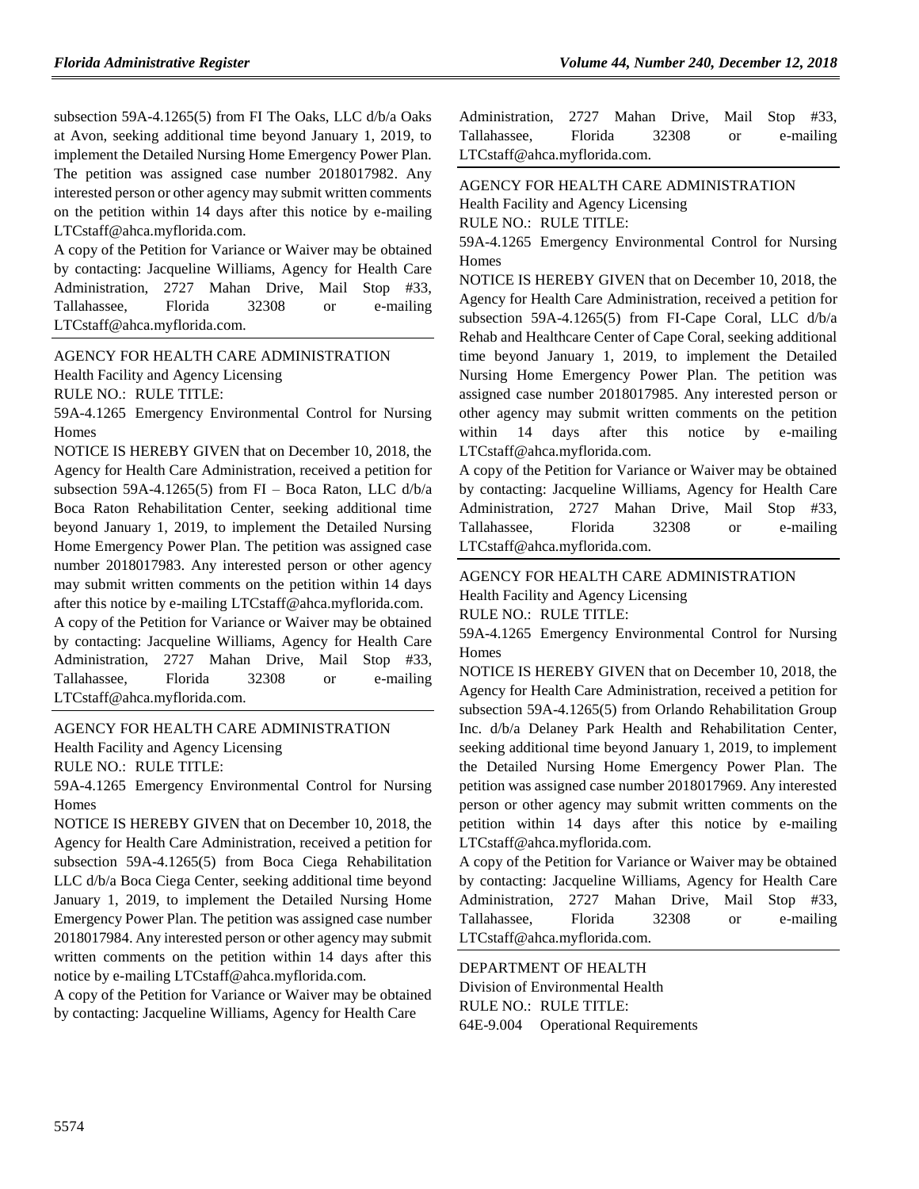subsection 59A-4.1265(5) from FI The Oaks, LLC d/b/a Oaks at Avon, seeking additional time beyond January 1, 2019, to implement the Detailed Nursing Home Emergency Power Plan. The petition was assigned case number 2018017982. Any interested person or other agency may submit written comments on the petition within 14 days after this notice by e-mailing LTCstaff@ahca.myflorida.com.

A copy of the Petition for Variance or Waiver may be obtained by contacting: Jacqueline Williams, Agency for Health Care Administration, 2727 Mahan Drive, Mail Stop #33, Tallahassee, Florida 32308 or e-mailing LTCstaff@ahca.myflorida.com.

[AGENCY FOR HEALTH CARE ADMINISTRATION](https://www.flrules.org/gateway/department.asp?id=59) [Health Facility and Agency Licensing](https://www.flrules.org/gateway/organization.asp?id=186)

RULE NO.: RULE TITLE:

[59A-4.1265](https://www.flrules.org/gateway/ruleNo.asp?id=59A-4.1265) Emergency Environmental Control for Nursing Homes

NOTICE IS HEREBY GIVEN that on December 10, 2018, the Agency for Health Care Administration, received a petition for subsection 59A-4.1265(5) from FI – Boca Raton, LLC d/b/a Boca Raton Rehabilitation Center, seeking additional time beyond January 1, 2019, to implement the Detailed Nursing Home Emergency Power Plan. The petition was assigned case number 2018017983. Any interested person or other agency may submit written comments on the petition within 14 days after this notice by e-mailing LTCstaff@ahca.myflorida.com.

A copy of the Petition for Variance or Waiver may be obtained by contacting: Jacqueline Williams, Agency for Health Care Administration, 2727 Mahan Drive, Mail Stop #33, Tallahassee, Florida 32308 or e-mailing LTCstaff@ahca.myflorida.com.

#### [AGENCY FOR HEALTH CARE ADMINISTRATION](https://www.flrules.org/gateway/department.asp?id=59)

[Health Facility and Agency Licensing](https://www.flrules.org/gateway/organization.asp?id=186)

RULE NO.: RULE TITLE:

[59A-4.1265](https://www.flrules.org/gateway/ruleNo.asp?id=59A-4.1265) Emergency Environmental Control for Nursing **Homes** 

NOTICE IS HEREBY GIVEN that on December 10, 2018, the Agency for Health Care Administration, received a petition for subsection 59A-4.1265(5) from Boca Ciega Rehabilitation LLC d/b/a Boca Ciega Center, seeking additional time beyond January 1, 2019, to implement the Detailed Nursing Home Emergency Power Plan. The petition was assigned case number 2018017984. Any interested person or other agency may submit written comments on the petition within 14 days after this notice by e-mailing LTCstaff@ahca.myflorida.com.

A copy of the Petition for Variance or Waiver may be obtained by contacting: Jacqueline Williams, Agency for Health Care

| Administration, 2727 Mahan Drive, Mail Stop #33, |  |       |    |           |
|--------------------------------------------------|--|-------|----|-----------|
| Tallahassee, Florida                             |  | 32308 | or | e-mailing |
| LTCstaff@ahca.myflorida.com.                     |  |       |    |           |

[AGENCY FOR HEALTH CARE ADMINISTRATION](https://www.flrules.org/gateway/department.asp?id=59)

[Health Facility and Agency Licensing](https://www.flrules.org/gateway/organization.asp?id=186)

RULE NO.: RULE TITLE:

[59A-4.1265](https://www.flrules.org/gateway/ruleNo.asp?id=59A-4.1265) Emergency Environmental Control for Nursing **Homes** 

NOTICE IS HEREBY GIVEN that on December 10, 2018, the Agency for Health Care Administration, received a petition for subsection 59A-4.1265(5) from FI-Cape Coral, LLC d/b/a Rehab and Healthcare Center of Cape Coral, seeking additional time beyond January 1, 2019, to implement the Detailed Nursing Home Emergency Power Plan. The petition was assigned case number 2018017985. Any interested person or other agency may submit written comments on the petition within 14 days after this notice by e-mailing LTCstaff@ahca.myflorida.com.

A copy of the Petition for Variance or Waiver may be obtained by contacting: Jacqueline Williams, Agency for Health Care Administration, 2727 Mahan Drive, Mail Stop #33, Tallahassee, Florida 32308 or e-mailing LTCstaff@ahca.myflorida.com.

# AGENCY FOR HEALTH [CARE ADMINISTRATION](https://www.flrules.org/gateway/department.asp?id=59)

[Health Facility and Agency Licensing](https://www.flrules.org/gateway/organization.asp?id=186)

RULE NO.: RULE TITLE:

[59A-4.1265](https://www.flrules.org/gateway/ruleNo.asp?id=59A-4.1265) Emergency Environmental Control for Nursing Homes

NOTICE IS HEREBY GIVEN that on December 10, 2018, the Agency for Health Care Administration, received a petition for subsection 59A-4.1265(5) from Orlando Rehabilitation Group Inc. d/b/a Delaney Park Health and Rehabilitation Center, seeking additional time beyond January 1, 2019, to implement the Detailed Nursing Home Emergency Power Plan. The petition was assigned case number 2018017969. Any interested person or other agency may submit written comments on the petition within 14 days after this notice by e-mailing LTCstaff@ahca.myflorida.com.

A copy of the Petition for Variance or Waiver may be obtained by contacting: Jacqueline Williams, Agency for Health Care Administration, 2727 Mahan Drive, Mail Stop #33, Tallahassee, Florida 32308 or e-mailing LTCstaff@ahca.myflorida.com.

[DEPARTMENT OF HEALTH](https://www.flrules.org/gateway/department.asp?id=64) [Division of Environmental Health](https://www.flrules.org/gateway/organization.asp?id=335) RULE NO.: RULE TITLE: [64E-9.004](https://www.flrules.org/gateway/ruleNo.asp?id=64E-9.004) Operational Requirements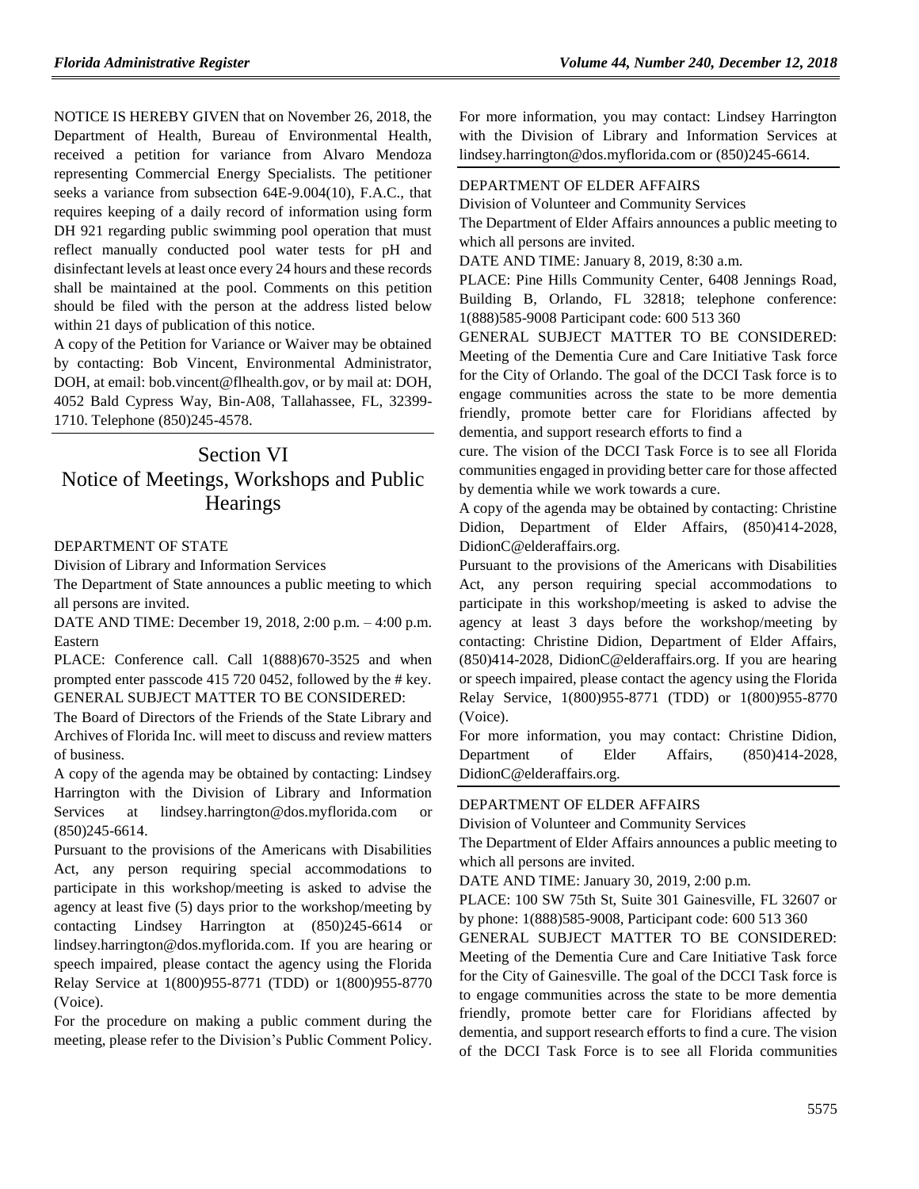NOTICE IS HEREBY GIVEN that on November 26, 2018, the Department of Health, Bureau of Environmental Health, received a petition for variance from Alvaro Mendoza representing Commercial Energy Specialists. The petitioner seeks a variance from subsection 64E-9.004(10), F.A.C., that requires keeping of a daily record of information using form DH 921 regarding public swimming pool operation that must reflect manually conducted pool water tests for pH and disinfectant levels at least once every 24 hours and these records shall be maintained at the pool. Comments on this petition should be filed with the person at the address listed below within 21 days of publication of this notice.

A copy of the Petition for Variance or Waiver may be obtained by contacting: Bob Vincent, Environmental Administrator, DOH, at email: bob.vincent@flhealth.gov, or by mail at: DOH, 4052 Bald Cypress Way, Bin-A08, Tallahassee, FL, 32399- 1710. Telephone (850)245-4578.

# Section VI Notice of Meetings, Workshops and Public **Hearings**

DEPARTMENT OF STATE

Division of Library and Information Services

The Department of State announces a public meeting to which all persons are invited.

DATE AND TIME: December 19, 2018, 2:00 p.m. – 4:00 p.m. Eastern

PLACE: Conference call. Call 1(888)670-3525 and when prompted enter passcode 415 720 0452, followed by the # key. GENERAL SUBJECT MATTER TO BE CONSIDERED:

The Board of Directors of the Friends of the State Library and Archives of Florida Inc. will meet to discuss and review matters of business.

A copy of the agenda may be obtained by contacting: Lindsey Harrington with the Division of Library and Information Services at [lindsey.harrington@dos.myflorida.com](mailto:lindsey.harrington@dos.myflorida.com) or (850)245-6614.

Pursuant to the provisions of the Americans with Disabilities Act, any person requiring special accommodations to participate in this workshop/meeting is asked to advise the agency at least five (5) days prior to the workshop/meeting by contacting Lindsey Harrington at (850)245-6614 or [lindsey.harrington@dos.myflorida.com.](mailto:lindsey.harrington@dos.myflorida.com) If you are hearing or speech impaired, please contact the agency using the Florida Relay Service at 1(800)955-8771 (TDD) or 1(800)955-8770 (Voice).

For the procedure on making a public comment during the meeting, please refer to the [Division's Public Comment Policy.](http://dos.myflorida.com/library-archives/meetings-and-notices/public-comment-policy/)

For more information, you may contact: Lindsey Harrington with the Division of Library and Information Services at [lindsey.harrington@dos.myflorida.com](mailto:lindsey.harrington@dos.myflorida.com) or (850)245-6614.

### [DEPARTMENT OF ELDER AFFAIRS](https://www.flrules.org/gateway/department.asp?id=58)

[Division of Volunteer and Community Services](https://www.flrules.org/gateway/organization.asp?id=530)

The Department of Elder Affairs announces a public meeting to which all persons are invited.

DATE AND TIME: January 8, 2019, 8:30 a.m.

PLACE: Pine Hills Community Center, 6408 Jennings Road, Building B, Orlando, FL 32818; telephone conference: 1(888)585-9008 Participant code: 600 513 360

GENERAL SUBJECT MATTER TO BE CONSIDERED: Meeting of the Dementia Cure and Care Initiative Task force for the City of Orlando. The goal of the DCCI Task force is to engage communities across the state to be more dementia friendly, promote better care for Floridians affected by dementia, and support research efforts to find a

cure. The vision of the DCCI Task Force is to see all Florida communities engaged in providing better care for those affected by dementia while we work towards a cure.

A copy of the agenda may be obtained by contacting: Christine Didion, Department of Elder Affairs, (850)414-2028, DidionC@elderaffairs.org.

Pursuant to the provisions of the Americans with Disabilities Act, any person requiring special accommodations to participate in this workshop/meeting is asked to advise the agency at least 3 days before the workshop/meeting by contacting: Christine Didion, Department of Elder Affairs, (850)414-2028, DidionC@elderaffairs.org. If you are hearing or speech impaired, please contact the agency using the Florida Relay Service, 1(800)955-8771 (TDD) or 1(800)955-8770 (Voice).

For more information, you may contact: Christine Didion, Department of Elder Affairs, (850)414-2028, DidionC@elderaffairs.org.

#### [DEPARTMENT OF ELDER AFFAIRS](https://www.flrules.org/gateway/department.asp?id=58)

[Division of Volunteer and Community Services](https://www.flrules.org/gateway/organization.asp?id=530)

The Department of Elder Affairs announces a public meeting to which all persons are invited.

DATE AND TIME: January 30, 2019, 2:00 p.m.

PLACE: 100 SW 75th St, Suite 301 Gainesville, FL 32607 or by phone: 1(888)585-9008, Participant code: 600 513 360

GENERAL SUBJECT MATTER TO BE CONSIDERED: Meeting of the Dementia Cure and Care Initiative Task force for the City of Gainesville. The goal of the DCCI Task force is to engage communities across the state to be more dementia friendly, promote better care for Floridians affected by dementia, and support research efforts to find a cure. The vision of the DCCI Task Force is to see all Florida communities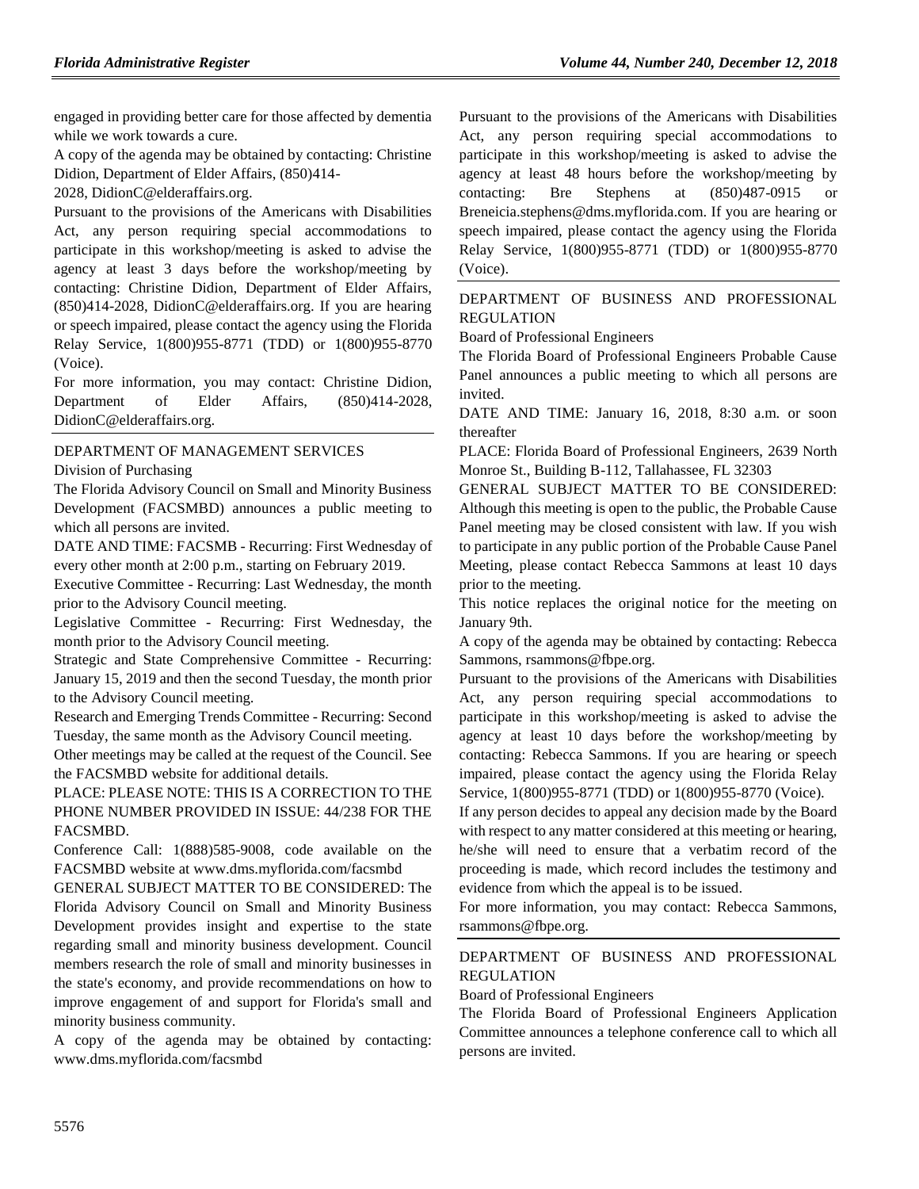engaged in providing better care for those affected by dementia while we work towards a cure.

A copy of the agenda may be obtained by contacting: Christine Didion, Department of Elder Affairs, (850)414-

2028, DidionC@elderaffairs.org.

Pursuant to the provisions of the Americans with Disabilities Act, any person requiring special accommodations to participate in this workshop/meeting is asked to advise the agency at least 3 days before the workshop/meeting by contacting: Christine Didion, Department of Elder Affairs, (850)414-2028, DidionC@elderaffairs.org. If you are hearing or speech impaired, please contact the agency using the Florida Relay Service, 1(800)955-8771 (TDD) or 1(800)955-8770 (Voice).

For more information, you may contact: Christine Didion, Department of Elder Affairs, (850)414-2028, DidionC@elderaffairs.org.

### [DEPARTMENT OF MANAGEMENT SERVICES](https://www.flrules.org/gateway/department.asp?id=60)

[Division of Purchasing](https://www.flrules.org/gateway/organization.asp?id=220)

The Florida Advisory Council on Small and Minority Business Development (FACSMBD) announces a public meeting to which all persons are invited.

DATE AND TIME: FACSMB - Recurring: First Wednesday of every other month at 2:00 p.m., starting on February 2019.

Executive Committee - Recurring: Last Wednesday, the month prior to the Advisory Council meeting.

Legislative Committee - Recurring: First Wednesday, the month prior to the Advisory Council meeting.

Strategic and State Comprehensive Committee - Recurring: January 15, 2019 and then the second Tuesday, the month prior to the Advisory Council meeting.

Research and Emerging Trends Committee - Recurring: Second Tuesday, the same month as the Advisory Council meeting.

Other meetings may be called at the request of the Council. See the FACSMBD website for additional details.

PLACE: PLEASE NOTE: THIS IS A CORRECTION TO THE PHONE NUMBER PROVIDED IN ISSUE: 44/238 FOR THE FACSMBD.

Conference Call: 1(888)585-9008, code available on the FACSMBD website at www.dms.myflorida.com/facsmbd

GENERAL SUBJECT MATTER TO BE CONSIDERED: The Florida Advisory Council on Small and Minority Business Development provides insight and expertise to the state regarding small and minority business development. Council members research the role of small and minority businesses in the state's economy, and provide recommendations on how to improve engagement of and support for Florida's small and minority business community.

A copy of the agenda may be obtained by contacting: www.dms.myflorida.com/facsmbd

Pursuant to the provisions of the Americans with Disabilities Act, any person requiring special accommodations to participate in this workshop/meeting is asked to advise the agency at least 48 hours before the workshop/meeting by contacting: Bre Stephens at (850)487-0915 or Breneicia.stephens@dms.myflorida.com. If you are hearing or speech impaired, please contact the agency using the Florida Relay Service, 1(800)955-8771 (TDD) or 1(800)955-8770 (Voice).

### [DEPARTMENT OF BUSINESS AND PROFESSIONAL](https://www.flrules.org/gateway/department.asp?id=61)  [REGULATION](https://www.flrules.org/gateway/department.asp?id=61)

[Board of Professional Engineers](https://www.flrules.org/gateway/organization.asp?id=267)

The Florida Board of Professional Engineers Probable Cause Panel announces a public meeting to which all persons are invited.

DATE AND TIME: January 16, 2018, 8:30 a.m. or soon thereafter

PLACE: Florida Board of Professional Engineers, 2639 North Monroe St., Building B-112, Tallahassee, FL 32303

GENERAL SUBJECT MATTER TO BE CONSIDERED: Although this meeting is open to the public, the Probable Cause Panel meeting may be closed consistent with law. If you wish to participate in any public portion of the Probable Cause Panel Meeting, please contact Rebecca Sammons at least 10 days prior to the meeting.

This notice replaces the original notice for the meeting on January 9th.

A copy of the agenda may be obtained by contacting: Rebecca Sammons, rsammons@fbpe.org.

Pursuant to the provisions of the Americans with Disabilities Act, any person requiring special accommodations to participate in this workshop/meeting is asked to advise the agency at least 10 days before the workshop/meeting by contacting: Rebecca Sammons. If you are hearing or speech impaired, please contact the agency using the Florida Relay Service, 1(800)955-8771 (TDD) or 1(800)955-8770 (Voice).

If any person decides to appeal any decision made by the Board with respect to any matter considered at this meeting or hearing, he/she will need to ensure that a verbatim record of the proceeding is made, which record includes the testimony and evidence from which the appeal is to be issued.

For more information, you may contact: Rebecca Sammons, rsammons@fbpe.org.

## [DEPARTMENT OF BUSINESS AND PROFESSIONAL](https://www.flrules.org/gateway/department.asp?id=61)  [REGULATION](https://www.flrules.org/gateway/department.asp?id=61)

[Board of Professional Engineers](https://www.flrules.org/gateway/organization.asp?id=267)

The Florida Board of Professional Engineers Application Committee announces a telephone conference call to which all persons are invited.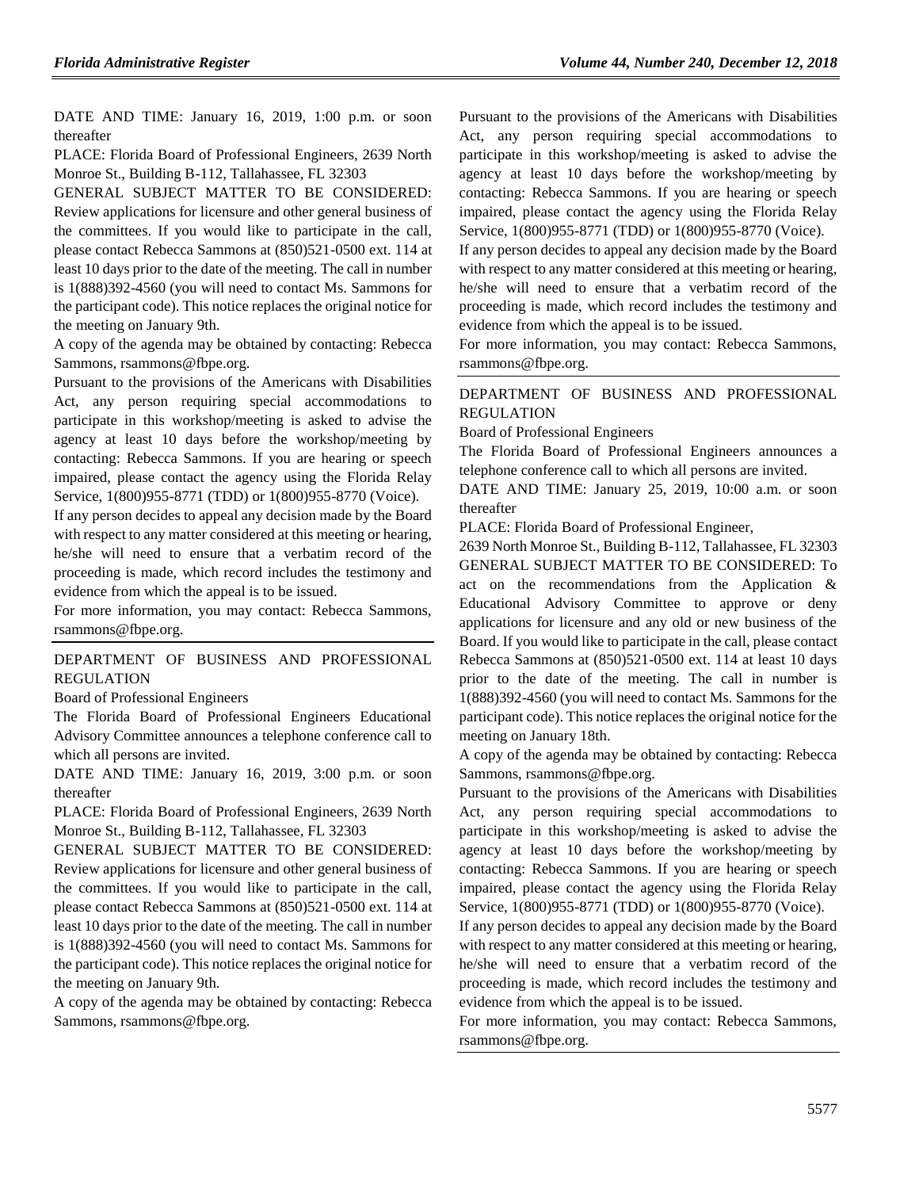DATE AND TIME: January 16, 2019, 1:00 p.m. or soon thereafter

PLACE: Florida Board of Professional Engineers, 2639 North Monroe St., Building B-112, Tallahassee, FL 32303

GENERAL SUBJECT MATTER TO BE CONSIDERED: Review applications for licensure and other general business of the committees. If you would like to participate in the call, please contact Rebecca Sammons at (850)521-0500 ext. 114 at least 10 days prior to the date of the meeting. The call in number is 1(888)392-4560 (you will need to contact Ms. Sammons for the participant code). This notice replaces the original notice for the meeting on January 9th.

A copy of the agenda may be obtained by contacting: Rebecca Sammons, rsammons@fbpe.org.

Pursuant to the provisions of the Americans with Disabilities Act, any person requiring special accommodations to participate in this workshop/meeting is asked to advise the agency at least 10 days before the workshop/meeting by contacting: Rebecca Sammons. If you are hearing or speech impaired, please contact the agency using the Florida Relay Service, 1(800)955-8771 (TDD) or 1(800)955-8770 (Voice).

If any person decides to appeal any decision made by the Board with respect to any matter considered at this meeting or hearing, he/she will need to ensure that a verbatim record of the proceeding is made, which record includes the testimony and evidence from which the appeal is to be issued.

For more information, you may contact: Rebecca Sammons, rsammons@fbpe.org.

### [DEPARTMENT OF BUSINESS AND PROFESSIONAL](https://www.flrules.org/gateway/department.asp?id=61)  [REGULATION](https://www.flrules.org/gateway/department.asp?id=61)

[Board of Professional Engineers](https://www.flrules.org/gateway/organization.asp?id=267)

The Florida Board of Professional Engineers Educational Advisory Committee announces a telephone conference call to which all persons are invited.

DATE AND TIME: January 16, 2019, 3:00 p.m. or soon thereafter

PLACE: Florida Board of Professional Engineers, 2639 North Monroe St., Building B-112, Tallahassee, FL 32303

GENERAL SUBJECT MATTER TO BE CONSIDERED: Review applications for licensure and other general business of the committees. If you would like to participate in the call, please contact Rebecca Sammons at (850)521-0500 ext. 114 at least 10 days prior to the date of the meeting. The call in number is 1(888)392-4560 (you will need to contact Ms. Sammons for the participant code). This notice replaces the original notice for the meeting on January 9th.

A copy of the agenda may be obtained by contacting: Rebecca Sammons, rsammons@fbpe.org.

Pursuant to the provisions of the Americans with Disabilities Act, any person requiring special accommodations to participate in this workshop/meeting is asked to advise the agency at least 10 days before the workshop/meeting by contacting: Rebecca Sammons. If you are hearing or speech impaired, please contact the agency using the Florida Relay Service, 1(800)955-8771 (TDD) or 1(800)955-8770 (Voice).

If any person decides to appeal any decision made by the Board with respect to any matter considered at this meeting or hearing, he/she will need to ensure that a verbatim record of the proceeding is made, which record includes the testimony and evidence from which the appeal is to be issued.

For more information, you may contact: Rebecca Sammons, rsammons@fbpe.org.

### [DEPARTMENT OF BUSINESS AND PROFESSIONAL](https://www.flrules.org/gateway/department.asp?id=61)  [REGULATION](https://www.flrules.org/gateway/department.asp?id=61)

[Board of Professional Engineers](https://www.flrules.org/gateway/organization.asp?id=267)

The Florida Board of Professional Engineers announces a telephone conference call to which all persons are invited.

DATE AND TIME: January 25, 2019, 10:00 a.m. or soon thereafter

PLACE: Florida Board of Professional Engineer,

2639 North Monroe St., Building B-112, Tallahassee, FL 32303 GENERAL SUBJECT MATTER TO BE CONSIDERED: To act on the recommendations from the Application & Educational Advisory Committee to approve or deny applications for licensure and any old or new business of the Board. If you would like to participate in the call, please contact Rebecca Sammons at (850)521-0500 ext. 114 at least 10 days prior to the date of the meeting. The call in number is 1(888)392-4560 (you will need to contact Ms. Sammons for the participant code). This notice replaces the original notice for the meeting on January 18th.

A copy of the agenda may be obtained by contacting: Rebecca Sammons, rsammons@fbpe.org.

Pursuant to the provisions of the Americans with Disabilities Act, any person requiring special accommodations to participate in this workshop/meeting is asked to advise the agency at least 10 days before the workshop/meeting by contacting: Rebecca Sammons. If you are hearing or speech impaired, please contact the agency using the Florida Relay Service, 1(800)955-8771 (TDD) or 1(800)955-8770 (Voice).

If any person decides to appeal any decision made by the Board with respect to any matter considered at this meeting or hearing, he/she will need to ensure that a verbatim record of the proceeding is made, which record includes the testimony and evidence from which the appeal is to be issued.

For more information, you may contact: Rebecca Sammons, rsammons@fbpe.org.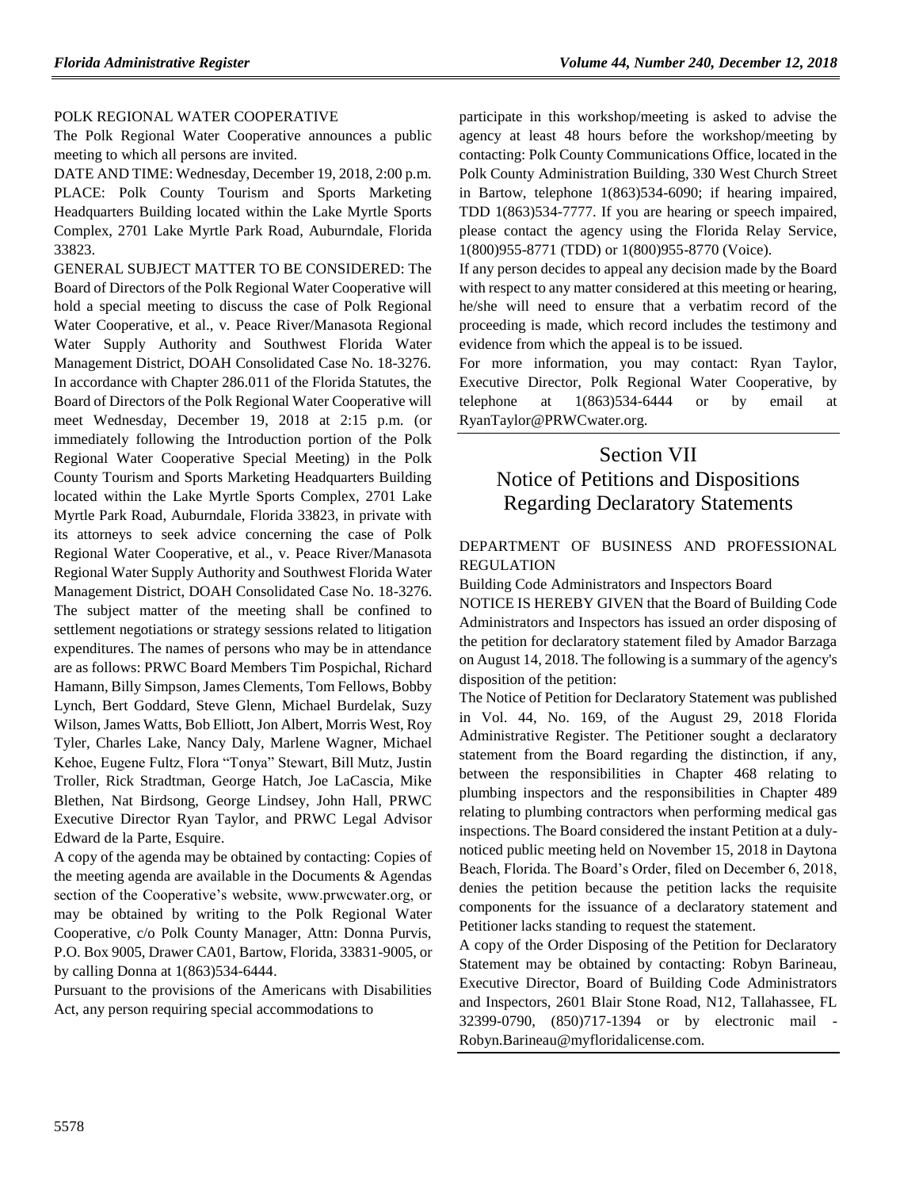### [POLK REGIONAL WATER COOPERATIVE](https://www.flrules.org/gateway/organization.asp?id=1246)

The Polk Regional Water Cooperative announces a public meeting to which all persons are invited.

DATE AND TIME: Wednesday, December 19, 2018, 2:00 p.m. PLACE: Polk County Tourism and Sports Marketing Headquarters Building located within the Lake Myrtle Sports Complex, 2701 Lake Myrtle Park Road, Auburndale, Florida 33823.

GENERAL SUBJECT MATTER TO BE CONSIDERED: The Board of Directors of the Polk Regional Water Cooperative will hold a special meeting to discuss the case of Polk Regional Water Cooperative, et al., v. Peace River/Manasota Regional Water Supply Authority and Southwest Florida Water Management District, DOAH Consolidated Case No. 18-3276. In accordance with Chapter 286.011 of the Florida Statutes, the Board of Directors of the Polk Regional Water Cooperative will meet Wednesday, December 19, 2018 at 2:15 p.m. (or immediately following the Introduction portion of the Polk Regional Water Cooperative Special Meeting) in the Polk County Tourism and Sports Marketing Headquarters Building located within the Lake Myrtle Sports Complex, 2701 Lake Myrtle Park Road, Auburndale, Florida 33823, in private with its attorneys to seek advice concerning the case of Polk Regional Water Cooperative, et al., v. Peace River/Manasota Regional Water Supply Authority and Southwest Florida Water Management District, DOAH Consolidated Case No. 18-3276. The subject matter of the meeting shall be confined to settlement negotiations or strategy sessions related to litigation expenditures. The names of persons who may be in attendance are as follows: PRWC Board Members Tim Pospichal, Richard Hamann, Billy Simpson, James Clements, Tom Fellows, Bobby Lynch, Bert Goddard, Steve Glenn, Michael Burdelak, Suzy Wilson, James Watts, Bob Elliott, Jon Albert, Morris West, Roy Tyler, Charles Lake, Nancy Daly, Marlene Wagner, Michael Kehoe, Eugene Fultz, Flora "Tonya" Stewart, Bill Mutz, Justin Troller, Rick Stradtman, George Hatch, Joe LaCascia, Mike Blethen, Nat Birdsong, George Lindsey, John Hall, PRWC Executive Director Ryan Taylor, and PRWC Legal Advisor Edward de la Parte, Esquire.

A copy of the agenda may be obtained by contacting: Copies of the meeting agenda are available in the Documents  $\&$  Agendas section of the Cooperative's website, www.prwcwater.org, or may be obtained by writing to the Polk Regional Water Cooperative, c/o Polk County Manager, Attn: Donna Purvis, P.O. Box 9005, Drawer CA01, Bartow, Florida, 33831-9005, or by calling Donna at 1(863)534-6444.

Pursuant to the provisions of the Americans with Disabilities Act, any person requiring special accommodations to

participate in this workshop/meeting is asked to advise the agency at least 48 hours before the workshop/meeting by contacting: Polk County Communications Office, located in the Polk County Administration Building, 330 West Church Street in Bartow, telephone 1(863)534-6090; if hearing impaired, TDD 1(863)534-7777. If you are hearing or speech impaired, please contact the agency using the Florida Relay Service, 1(800)955-8771 (TDD) or 1(800)955-8770 (Voice).

If any person decides to appeal any decision made by the Board with respect to any matter considered at this meeting or hearing, he/she will need to ensure that a verbatim record of the proceeding is made, which record includes the testimony and evidence from which the appeal is to be issued.

For more information, you may contact: Ryan Taylor, Executive Director, Polk Regional Water Cooperative, by telephone at  $1(863)534-6444$  or by email at RyanTaylor@PRWCwater.org.

# Section VII Notice of Petitions and Dispositions Regarding Declaratory Statements

## [DEPARTMENT OF BUSINESS AND PROFESSIONAL](https://www.flrules.org/gateway/department.asp?id=61)  [REGULATION](https://www.flrules.org/gateway/department.asp?id=61)

[Building Code Administrators and Inspectors Board](https://www.flrules.org/gateway/organization.asp?id=271)

NOTICE IS HEREBY GIVEN that the Board of Building Code Administrators and Inspectors has issued an order disposing of the petition for declaratory statement filed by Amador Barzaga on August 14, 2018. The following is a summary of the agency's disposition of the petition:

The Notice of Petition for Declaratory Statement was published in Vol. 44, No. 169, of the August 29, 2018 Florida Administrative Register. The Petitioner sought a declaratory statement from the Board regarding the distinction, if any, between the responsibilities in Chapter 468 relating to plumbing inspectors and the responsibilities in Chapter 489 relating to plumbing contractors when performing medical gas inspections. The Board considered the instant Petition at a dulynoticed public meeting held on November 15, 2018 in Daytona Beach, Florida. The Board's Order, filed on December 6, 2018, denies the petition because the petition lacks the requisite components for the issuance of a declaratory statement and Petitioner lacks standing to request the statement.

A copy of the Order Disposing of the Petition for Declaratory Statement may be obtained by contacting: Robyn Barineau, Executive Director, Board of Building Code Administrators and Inspectors, 2601 Blair Stone Road, N12, Tallahassee, FL 32399-0790, (850)717-1394 or by electronic mail - Robyn.Barineau@myfloridalicense.com.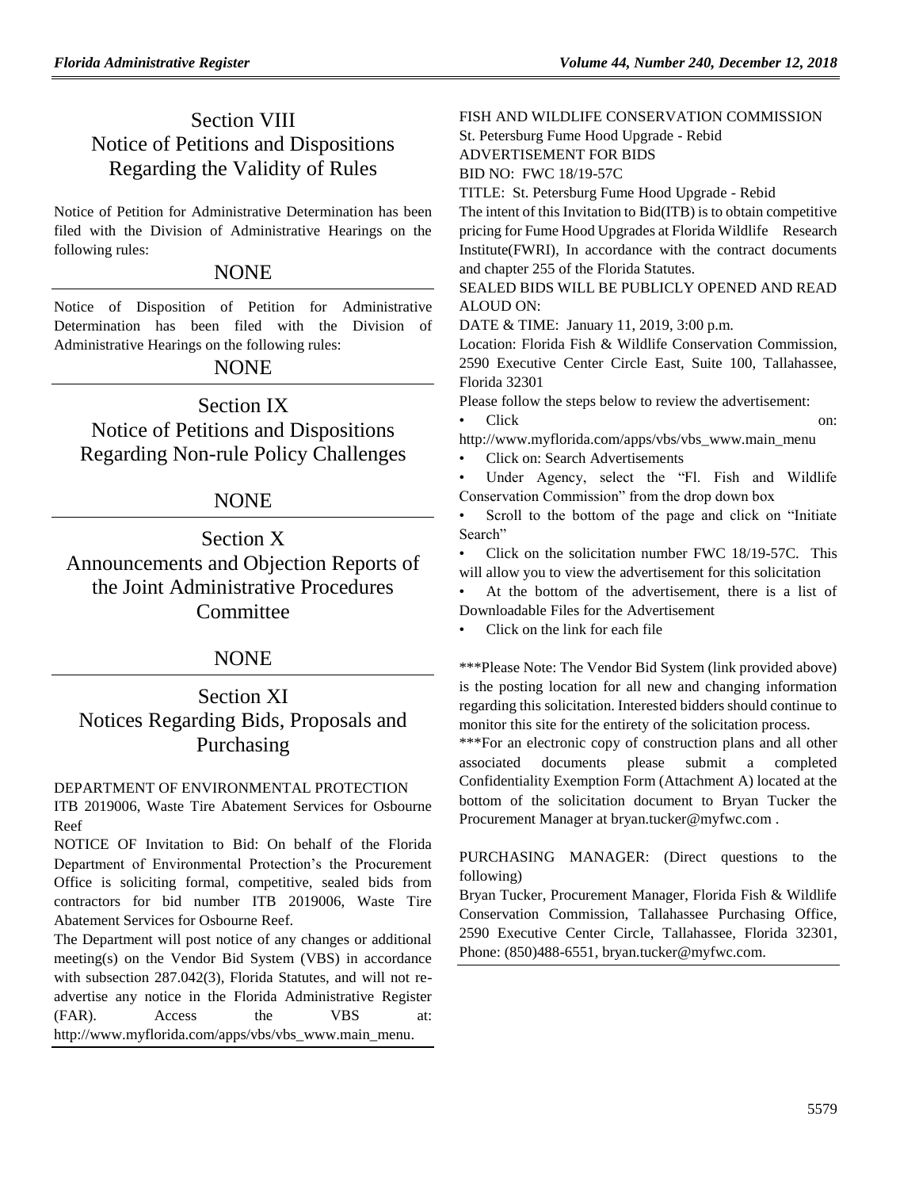# Section VIII Notice of Petitions and Dispositions Regarding the Validity of Rules

Notice of Petition for Administrative Determination has been filed with the Division of Administrative Hearings on the following rules:

## **NONE**

Notice of Disposition of Petition for Administrative Determination has been filed with the Division of Administrative Hearings on the following rules:

# NONE

Section IX Notice of Petitions and Dispositions Regarding Non-rule Policy Challenges

# NONE

Section X Announcements and Objection Reports of the Joint Administrative Procedures **Committee** 

# NONE

# Section XI Notices Regarding Bids, Proposals and Purchasing

## [DEPARTMENT OF ENVIRONMENTAL PROTECTION](https://www.flrules.org/gateway/department.asp?id=62)

ITB 2019006, Waste Tire Abatement Services for Osbourne Reef

NOTICE OF Invitation to Bid: On behalf of the Florida Department of Environmental Protection's the Procurement Office is soliciting formal, competitive, sealed bids from contractors for bid number ITB 2019006, Waste Tire Abatement Services for Osbourne Reef.

The Department will post notice of any changes or additional meeting(s) on the Vendor Bid System (VBS) in accordance with subsection 287.042(3), Florida Statutes, and will not readvertise any notice in the Florida Administrative Register (FAR). Access the VBS at: [http://www.myflorida.com/apps/vbs/vbs\\_www.main\\_menu.](http://www.myflorida.com/apps/vbs/vbs_www.main_menu)

[FISH AND WILDLIFE CONSERVATION COMMISSION](https://www.flrules.org/gateway/department.asp?id=68)

St. Petersburg Fume Hood Upgrade - Rebid

ADVERTISEMENT FOR BIDS BID NO: FWC 18/19-57C

TITLE: St. Petersburg Fume Hood Upgrade - Rebid

The intent of this Invitation to Bid(ITB) is to obtain competitive pricing for Fume Hood Upgrades at Florida Wildlife Research Institute(FWRI), In accordance with the contract documents and chapter 255 of the Florida Statutes.

SEALED BIDS WILL BE PUBLICLY OPENED AND READ ALOUD ON:

DATE & TIME: January 11, 2019, 3:00 p.m.

Location: Florida Fish & Wildlife Conservation Commission, 2590 Executive Center Circle East, Suite 100, Tallahassee, Florida 32301

Please follow the steps below to review the advertisement: • Click on:

[http://www.myflorida.com/apps/vbs/vbs\\_www.main\\_menu](http://www.myflorida.com/apps/vbs/vbs_www.main_menu)

• Click on: Search Advertisements

Under Agency, select the "Fl. Fish and Wildlife Conservation Commission" from the drop down box

Scroll to the bottom of the page and click on "Initiate" Search"

• Click on the solicitation number FWC 18/19-57C. This will allow you to view the advertisement for this solicitation

At the bottom of the advertisement, there is a list of Downloadable Files for the Advertisement

• Click on the link for each file

\*\*\*Please Note: The Vendor Bid System (link provided above) is the posting location for all new and changing information regarding this solicitation. Interested bidders should continue to monitor this site for the entirety of the solicitation process.

\*\*\*For an electronic copy of construction plans and all other associated documents please submit a completed Confidentiality Exemption Form (Attachment A) located at the bottom of the solicitation document to Bryan Tucker the Procurement Manager at [bryan.tucker@myfwc.com](mailto:bryan.tucker@myfwc.com) .

PURCHASING MANAGER: (Direct questions to the following)

Bryan Tucker, Procurement Manager, Florida Fish & Wildlife Conservation Commission, Tallahassee Purchasing Office, 2590 Executive Center Circle, Tallahassee, Florida 32301, Phone: (850)488-6551, bryan.tucker@myfwc.com.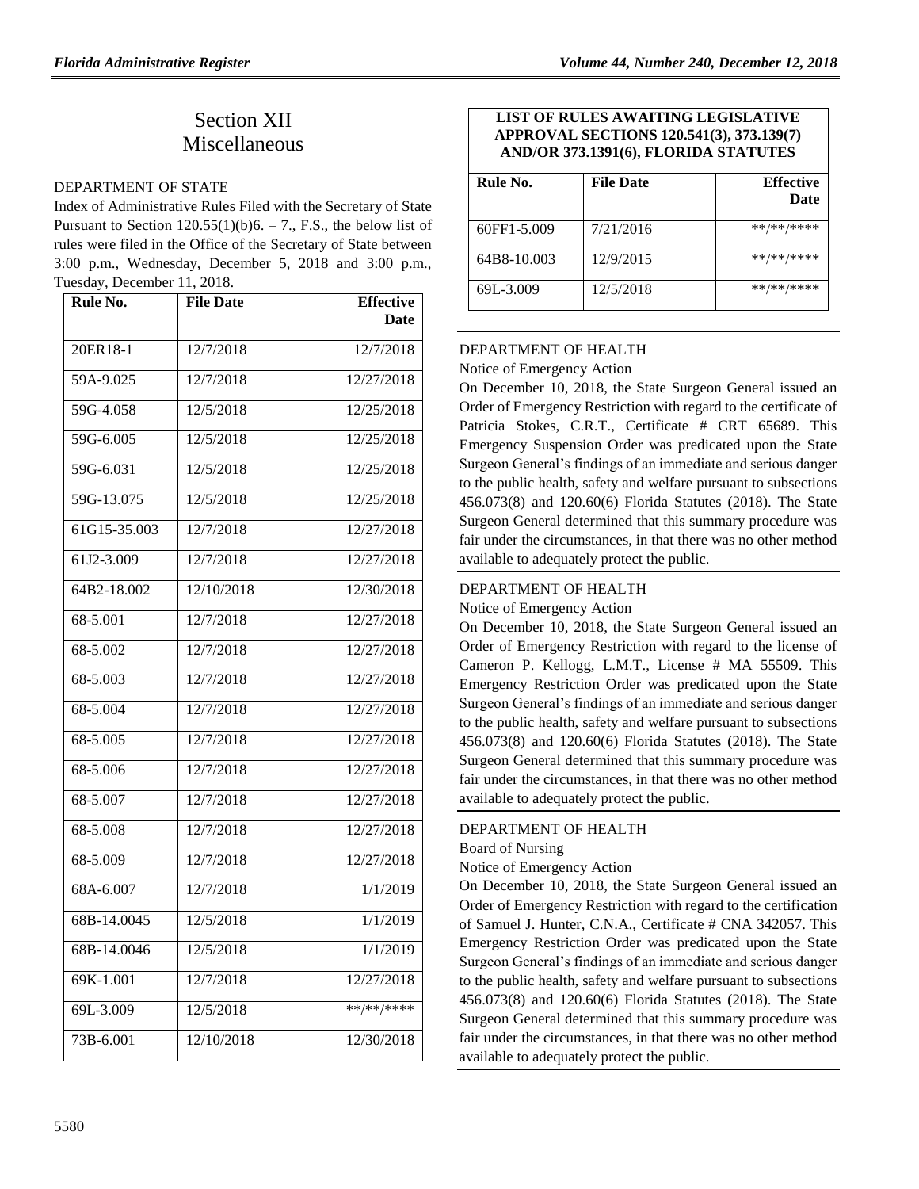# Section XII Miscellaneous

#### [DEPARTMENT OF STATE](https://www.flrules.org/gateway/department.asp?id=1)

Index of Administrative Rules Filed with the Secretary of State Pursuant to Section  $120.55(1)(b)6. - 7$ ., F.S., the below list of rules were filed in the Office of the Secretary of State between 3:00 p.m., Wednesday, December 5, 2018 and 3:00 p.m., Tuesday, December 11, 2018.

| Rule No.     | <b>File Date</b> | <b>Effective</b> |
|--------------|------------------|------------------|
|              |                  | <b>Date</b>      |
| 20ER18-1     | 12/7/2018        | 12/7/2018        |
| 59A-9.025    | 12/7/2018        | 12/27/2018       |
| 59G-4.058    | 12/5/2018        | 12/25/2018       |
| 59G-6.005    | 12/5/2018        | 12/25/2018       |
| 59G-6.031    | 12/5/2018        | 12/25/2018       |
| 59G-13.075   | 12/5/2018        | 12/25/2018       |
| 61G15-35.003 | 12/7/2018        | 12/27/2018       |
| 61J2-3.009   | 12/7/2018        | 12/27/2018       |
| 64B2-18.002  | 12/10/2018       | 12/30/2018       |
| 68-5.001     | 12/7/2018        | 12/27/2018       |
| 68-5.002     | 12/7/2018        | 12/27/2018       |
| 68-5.003     | 12/7/2018        | 12/27/2018       |
| 68-5.004     | 12/7/2018        | 12/27/2018       |
| 68-5.005     | 12/7/2018        | 12/27/2018       |
| 68-5.006     | 12/7/2018        | 12/27/2018       |
| 68-5.007     | 12/7/2018        | 12/27/2018       |
| 68-5.008     | 12/7/2018        | 12/27/2018       |
| 68-5.009     | 12/7/2018        | 12/27/2018       |
| 68A-6.007    | 12/7/2018        | 1/1/2019         |
| 68B-14.0045  | 12/5/2018        | 1/1/2019         |
| 68B-14.0046  | 12/5/2018        | 1/1/2019         |
| 69K-1.001    | 12/7/2018        | 12/27/2018       |
| 69L-3.009    | 12/5/2018        | **/**/****       |
| 73B-6.001    | 12/10/2018       | 12/30/2018       |

### **LIST OF RULES AWAITING LEGISLATIVE APPROVAL SECTIONS 120.541(3), 373.139(7) AND/OR 373.1391(6), FLORIDA STATUTES**

| Rule No.    | <b>File Date</b> | <b>Effective</b><br><b>Date</b> |
|-------------|------------------|---------------------------------|
| 60FF1-5.009 | 7/21/2016        | **/**/****                      |
| 64B8-10.003 | 12/9/2015        | **/**/****                      |
| 69L-3.009   | 12/5/2018        | **/**/****                      |

## [DEPARTMENT OF HEALTH](https://www.flrules.org/gateway/department.asp?id=64)

Notice of Emergency Action

On December 10, 2018, the State Surgeon General issued an Order of Emergency Restriction with regard to the certificate of Patricia Stokes, C.R.T., Certificate # CRT 65689. This Emergency Suspension Order was predicated upon the State Surgeon General's findings of an immediate and serious danger to the public health, safety and welfare pursuant to subsections 456.073(8) and 120.60(6) Florida Statutes (2018). The State Surgeon General determined that this summary procedure was fair under the circumstances, in that there was no other method available to adequately protect the public.

## [DEPARTMENT OF HEALTH](https://www.flrules.org/gateway/department.asp?id=64)

Notice of Emergency Action

On December 10, 2018, the State Surgeon General issued an Order of Emergency Restriction with regard to the license of Cameron P. Kellogg, L.M.T., License # MA 55509. This Emergency Restriction Order was predicated upon the State Surgeon General's findings of an immediate and serious danger to the public health, safety and welfare pursuant to subsections 456.073(8) and 120.60(6) Florida Statutes (2018). The State Surgeon General determined that this summary procedure was fair under the circumstances, in that there was no other method available to adequately protect the public.

## [DEPARTMENT OF HEALTH](https://www.flrules.org/gateway/department.asp?id=64)

[Board of Nursing](https://www.flrules.org/gateway/organization.asp?id=332)

Notice of Emergency Action

On December 10, 2018, the State Surgeon General issued an Order of Emergency Restriction with regard to the certification of Samuel J. Hunter, C.N.A., Certificate # CNA 342057. This Emergency Restriction Order was predicated upon the State Surgeon General's findings of an immediate and serious danger to the public health, safety and welfare pursuant to subsections 456.073(8) and 120.60(6) Florida Statutes (2018). The State Surgeon General determined that this summary procedure was fair under the circumstances, in that there was no other method available to adequately protect the public.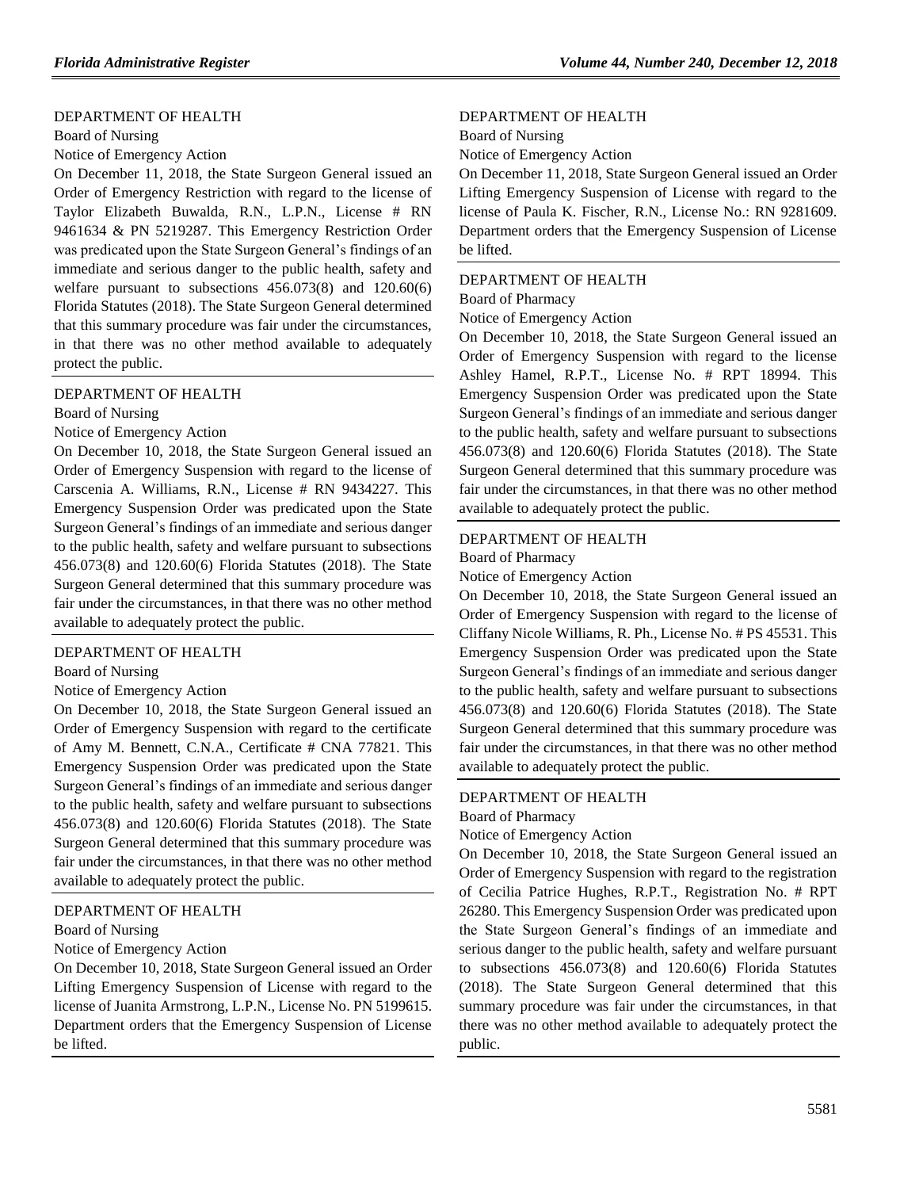#### [DEPARTMENT OF HEALTH](https://www.flrules.org/gateway/department.asp?id=64)

[Board of Nursing](https://www.flrules.org/gateway/organization.asp?id=332)

Notice of Emergency Action

On December 11, 2018, the State Surgeon General issued an Order of Emergency Restriction with regard to the license of Taylor Elizabeth Buwalda, R.N., L.P.N., License # RN 9461634 & PN 5219287. This Emergency Restriction Order was predicated upon the State Surgeon General's findings of an immediate and serious danger to the public health, safety and welfare pursuant to subsections 456.073(8) and 120.60(6) Florida Statutes (2018). The State Surgeon General determined that this summary procedure was fair under the circumstances, in that there was no other method available to adequately protect the public.

#### [DEPARTMENT OF HEALTH](https://www.flrules.org/gateway/department.asp?id=64)

[Board of Nursing](https://www.flrules.org/gateway/organization.asp?id=332)

Notice of Emergency Action

On December 10, 2018, the State Surgeon General issued an Order of Emergency Suspension with regard to the license of Carscenia A. Williams, R.N., License # RN 9434227. This Emergency Suspension Order was predicated upon the State Surgeon General's findings of an immediate and serious danger to the public health, safety and welfare pursuant to subsections 456.073(8) and 120.60(6) Florida Statutes (2018). The State Surgeon General determined that this summary procedure was fair under the circumstances, in that there was no other method available to adequately protect the public.

#### [DEPARTMENT OF HEALTH](https://www.flrules.org/gateway/department.asp?id=64)

[Board of Nursing](https://www.flrules.org/gateway/organization.asp?id=332)

#### Notice of Emergency Action

On December 10, 2018, the State Surgeon General issued an Order of Emergency Suspension with regard to the certificate of Amy M. Bennett, C.N.A., Certificate # CNA 77821. This Emergency Suspension Order was predicated upon the State Surgeon General's findings of an immediate and serious danger to the public health, safety and welfare pursuant to subsections 456.073(8) and 120.60(6) Florida Statutes (2018). The State Surgeon General determined that this summary procedure was fair under the circumstances, in that there was no other method available to adequately protect the public.

#### [DEPARTMENT OF HEALTH](https://www.flrules.org/gateway/department.asp?id=64)

[Board of Nursing](https://www.flrules.org/gateway/organization.asp?id=332)

Notice of Emergency Action

On December 10, 2018, State Surgeon General issued an Order Lifting Emergency Suspension of License with regard to the license of Juanita Armstrong, L.P.N., License No. PN 5199615. Department orders that the Emergency Suspension of License be lifted.

#### [DEPARTMENT OF HEALTH](https://www.flrules.org/gateway/department.asp?id=64)

[Board of Nursing](https://www.flrules.org/gateway/organization.asp?id=332)

Notice of Emergency Action

On December 11, 2018, State Surgeon General issued an Order Lifting Emergency Suspension of License with regard to the license of Paula K. Fischer, R.N., License No.: RN 9281609. Department orders that the Emergency Suspension of License be lifted.

### [DEPARTMENT OF HEALTH](https://www.flrules.org/gateway/department.asp?id=64)

[Board of Pharmacy](https://www.flrules.org/gateway/organization.asp?id=307)

Notice of Emergency Action

On December 10, 2018, the State Surgeon General issued an Order of Emergency Suspension with regard to the license Ashley Hamel, R.P.T., License No. # RPT 18994. This Emergency Suspension Order was predicated upon the State Surgeon General's findings of an immediate and serious danger to the public health, safety and welfare pursuant to subsections 456.073(8) and 120.60(6) Florida Statutes (2018). The State Surgeon General determined that this summary procedure was fair under the circumstances, in that there was no other method available to adequately protect the public.

#### [DEPARTMENT OF HEALTH](https://www.flrules.org/gateway/department.asp?id=64)

[Board of Pharmacy](https://www.flrules.org/gateway/organization.asp?id=307)

Notice of Emergency Action

On December 10, 2018, the State Surgeon General issued an Order of Emergency Suspension with regard to the license of Cliffany Nicole Williams, R. Ph., License No. # PS 45531. This Emergency Suspension Order was predicated upon the State Surgeon General's findings of an immediate and serious danger to the public health, safety and welfare pursuant to subsections 456.073(8) and 120.60(6) Florida Statutes (2018). The State Surgeon General determined that this summary procedure was fair under the circumstances, in that there was no other method available to adequately protect the public.

#### [DEPARTMENT OF HEALTH](https://www.flrules.org/gateway/department.asp?id=64)

[Board of Pharmacy](https://www.flrules.org/gateway/organization.asp?id=307)

Notice of Emergency Action

On December 10, 2018, the State Surgeon General issued an Order of Emergency Suspension with regard to the registration of Cecilia Patrice Hughes, R.P.T., Registration No. # RPT 26280. This Emergency Suspension Order was predicated upon the State Surgeon General's findings of an immediate and serious danger to the public health, safety and welfare pursuant to subsections 456.073(8) and 120.60(6) Florida Statutes (2018). The State Surgeon General determined that this summary procedure was fair under the circumstances, in that there was no other method available to adequately protect the public.